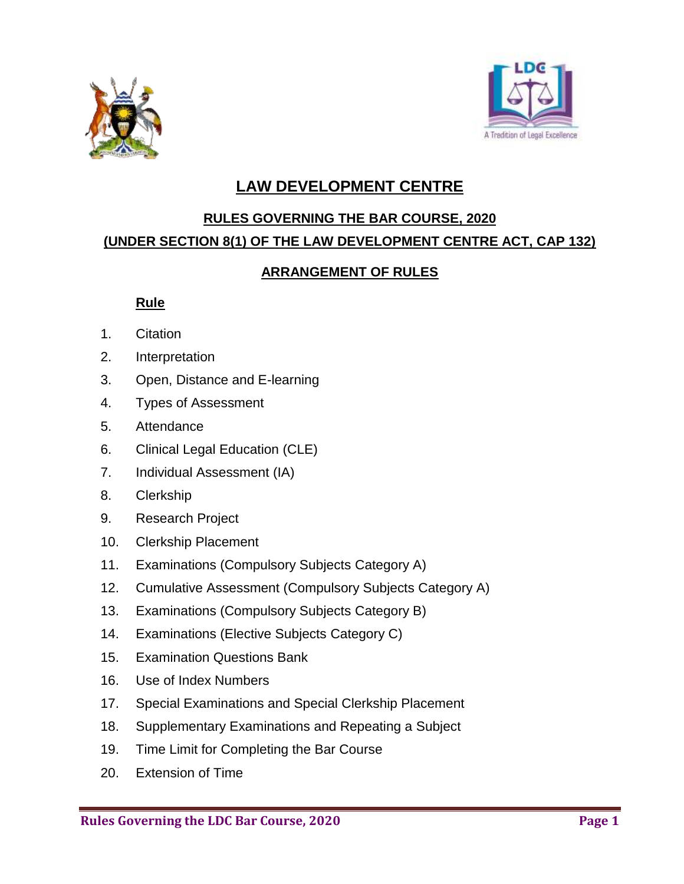



# **LAW DEVELOPMENT CENTRE**

#### **RULES GOVERNING THE BAR COURSE, 2020**

### **(UNDER SECTION 8(1) OF THE LAW DEVELOPMENT CENTRE ACT, CAP 132)**

### **ARRANGEMENT OF RULES**

## **Rule**

- 1. Citation
- 2. Interpretation
- 3. Open, Distance and E-learning
- 4. Types of Assessment
- 5. Attendance
- 6. Clinical Legal Education (CLE)
- 7. Individual Assessment (IA)
- 8. Clerkship
- 9. Research Project
- 10. Clerkship Placement
- 11. Examinations (Compulsory Subjects Category A)
- 12. Cumulative Assessment (Compulsory Subjects Category A)
- 13. Examinations (Compulsory Subjects Category B)
- 14. Examinations (Elective Subjects Category C)
- 15. Examination Questions Bank
- 16. Use of Index Numbers
- 17. Special Examinations and Special Clerkship Placement
- 18. Supplementary Examinations and Repeating a Subject
- 19. Time Limit for Completing the Bar Course
- 20. Extension of Time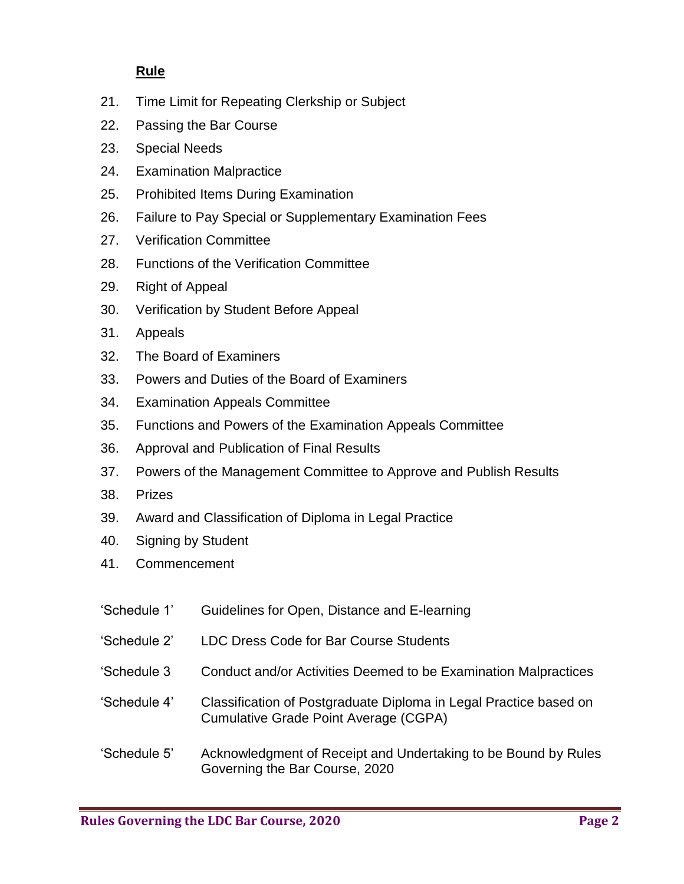## **Rule**

- 21. Time Limit for Repeating Clerkship or Subject
- 22. Passing the Bar Course
- 23. Special Needs
- 24. Examination Malpractice
- 25. Prohibited Items During Examination
- 26. Failure to Pay Special or Supplementary Examination Fees
- 27. Verification Committee
- 28. Functions of the Verification Committee
- 29. Right of Appeal
- 30. Verification by Student Before Appeal
- 31. Appeals
- 32. The Board of Examiners
- 33. Powers and Duties of the Board of Examiners
- 34. Examination Appeals Committee
- 35. Functions and Powers of the Examination Appeals Committee
- 36. Approval and Publication of Final Results
- 37. Powers of the Management Committee to Approve and Publish Results
- 38. Prizes
- 39. Award and Classification of Diploma in Legal Practice
- 40. Signing by Student
- 41. Commencement
- 'Schedule 1' Guidelines for Open, Distance and E-learning
- 'Schedule 2' LDC Dress Code for Bar Course Students
- 'Schedule 3 Conduct and/or Activities Deemed to be Examination Malpractices
- 'Schedule 4' Classification of Postgraduate Diploma in Legal Practice based on Cumulative Grade Point Average (CGPA)
- 'Schedule 5' Acknowledgment of Receipt and Undertaking to be Bound by Rules Governing the Bar Course, 2020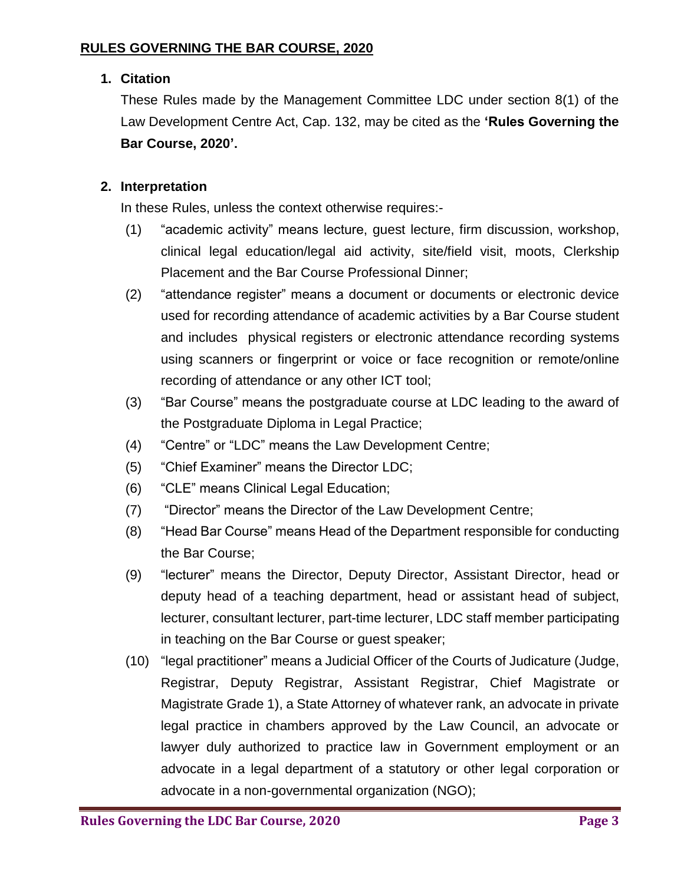# **1. Citation**

These Rules made by the Management Committee LDC under section 8(1) of the Law Development Centre Act, Cap. 132, may be cited as the **'Rules Governing the Bar Course, 2020'.**

# **2. Interpretation**

In these Rules, unless the context otherwise requires:-

- (1) "academic activity" means lecture, guest lecture, firm discussion, workshop, clinical legal education/legal aid activity, site/field visit, moots, Clerkship Placement and the Bar Course Professional Dinner;
- (2) "attendance register" means a document or documents or electronic device used for recording attendance of academic activities by a Bar Course student and includes physical registers or electronic attendance recording systems using scanners or fingerprint or voice or face recognition or remote/online recording of attendance or any other ICT tool;
- (3) "Bar Course" means the postgraduate course at LDC leading to the award of the Postgraduate Diploma in Legal Practice;
- (4) "Centre" or "LDC" means the Law Development Centre;
- (5) "Chief Examiner" means the Director LDC;
- (6) "CLE" means Clinical Legal Education;
- (7) "Director" means the Director of the Law Development Centre;
- (8) "Head Bar Course" means Head of the Department responsible for conducting the Bar Course;
- (9) "lecturer" means the Director, Deputy Director, Assistant Director, head or deputy head of a teaching department, head or assistant head of subject, lecturer, consultant lecturer, part-time lecturer, LDC staff member participating in teaching on the Bar Course or guest speaker;
- (10) "legal practitioner" means a Judicial Officer of the Courts of Judicature (Judge, Registrar, Deputy Registrar, Assistant Registrar, Chief Magistrate or Magistrate Grade 1), a State Attorney of whatever rank, an advocate in private legal practice in chambers approved by the Law Council, an advocate or lawyer duly authorized to practice law in Government employment or an advocate in a legal department of a statutory or other legal corporation or advocate in a non-governmental organization (NGO);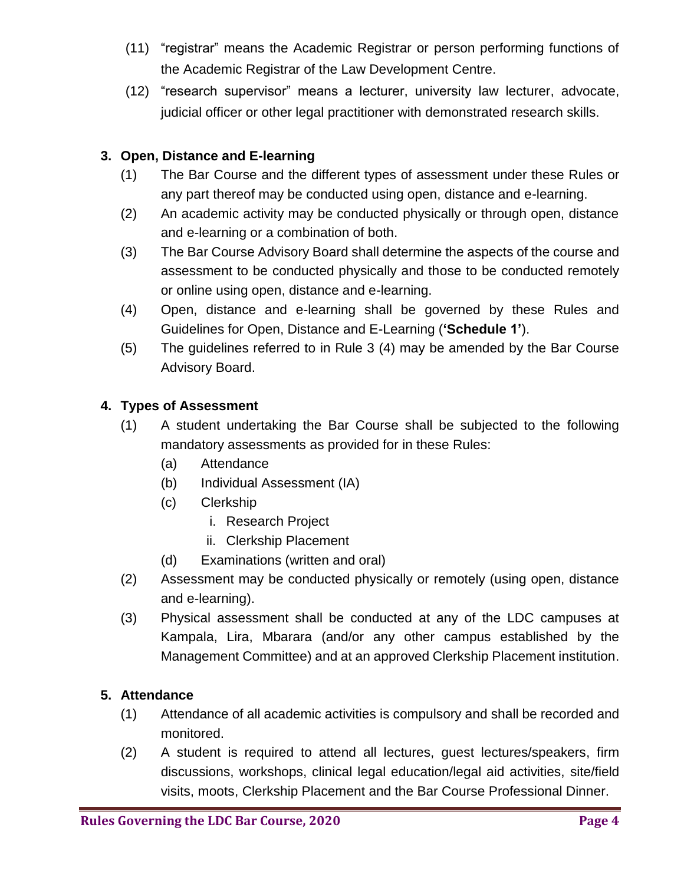- (11) "registrar" means the Academic Registrar or person performing functions of the Academic Registrar of the Law Development Centre.
- (12) "research supervisor" means a lecturer, university law lecturer, advocate, judicial officer or other legal practitioner with demonstrated research skills.

# **3. Open, Distance and E-learning**

- (1) The Bar Course and the different types of assessment under these Rules or any part thereof may be conducted using open, distance and e-learning.
- (2) An academic activity may be conducted physically or through open, distance and e-learning or a combination of both.
- (3) The Bar Course Advisory Board shall determine the aspects of the course and assessment to be conducted physically and those to be conducted remotely or online using open, distance and e-learning.
- (4) Open, distance and e-learning shall be governed by these Rules and Guidelines for Open, Distance and E-Learning (**'Schedule 1'**).
- (5) The guidelines referred to in Rule 3 (4) may be amended by the Bar Course Advisory Board.

#### **4. Types of Assessment**

- (1) A student undertaking the Bar Course shall be subjected to the following mandatory assessments as provided for in these Rules:
	- (a) Attendance
	- (b) Individual Assessment (IA)
	- (c) Clerkship
		- i. Research Project
		- ii. Clerkship Placement
	- (d) Examinations (written and oral)
- (2) Assessment may be conducted physically or remotely (using open, distance and e-learning).
- (3) Physical assessment shall be conducted at any of the LDC campuses at Kampala, Lira, Mbarara (and/or any other campus established by the Management Committee) and at an approved Clerkship Placement institution.

### **5. Attendance**

- (1) Attendance of all academic activities is compulsory and shall be recorded and monitored.
- (2) A student is required to attend all lectures, guest lectures/speakers, firm discussions, workshops, clinical legal education/legal aid activities, site/field visits, moots, Clerkship Placement and the Bar Course Professional Dinner.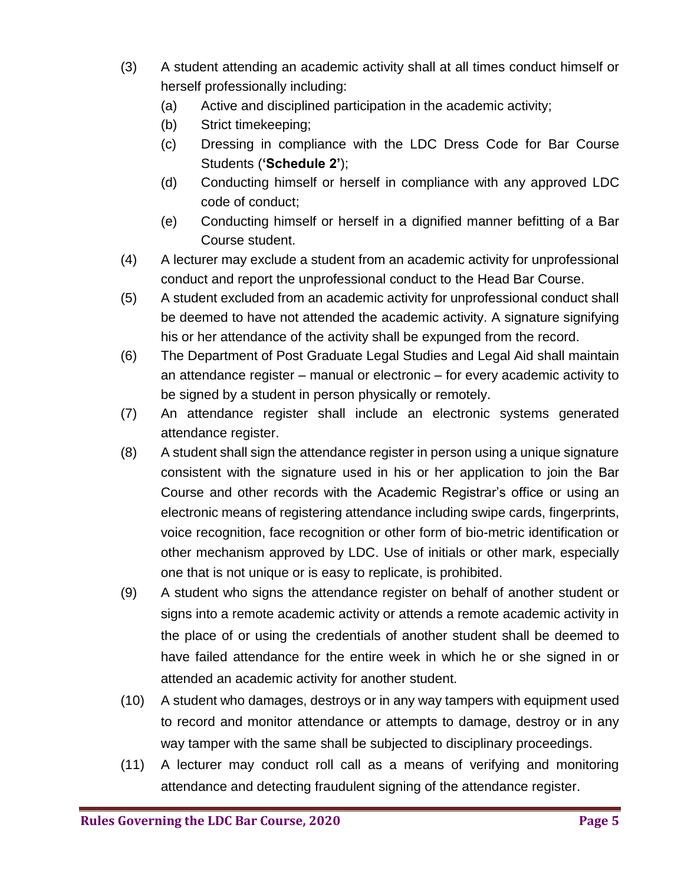- (3) A student attending an academic activity shall at all times conduct himself or herself professionally including:
	- (a) Active and disciplined participation in the academic activity;
	- (b) Strict timekeeping;
	- (c) Dressing in compliance with the LDC Dress Code for Bar Course Students (**'Schedule 2'**);
	- (d) Conducting himself or herself in compliance with any approved LDC code of conduct;
	- (e) Conducting himself or herself in a dignified manner befitting of a Bar Course student.
- (4) A lecturer may exclude a student from an academic activity for unprofessional conduct and report the unprofessional conduct to the Head Bar Course.
- (5) A student excluded from an academic activity for unprofessional conduct shall be deemed to have not attended the academic activity. A signature signifying his or her attendance of the activity shall be expunged from the record.
- (6) The Department of Post Graduate Legal Studies and Legal Aid shall maintain an attendance register – manual or electronic – for every academic activity to be signed by a student in person physically or remotely.
- (7) An attendance register shall include an electronic systems generated attendance register.
- (8) A student shall sign the attendance register in person using a unique signature consistent with the signature used in his or her application to join the Bar Course and other records with the Academic Registrar's office or using an electronic means of registering attendance including swipe cards, fingerprints, voice recognition, face recognition or other form of bio-metric identification or other mechanism approved by LDC. Use of initials or other mark, especially one that is not unique or is easy to replicate, is prohibited.
- (9) A student who signs the attendance register on behalf of another student or signs into a remote academic activity or attends a remote academic activity in the place of or using the credentials of another student shall be deemed to have failed attendance for the entire week in which he or she signed in or attended an academic activity for another student.
- (10) A student who damages, destroys or in any way tampers with equipment used to record and monitor attendance or attempts to damage, destroy or in any way tamper with the same shall be subjected to disciplinary proceedings.
- (11) A lecturer may conduct roll call as a means of verifying and monitoring attendance and detecting fraudulent signing of the attendance register.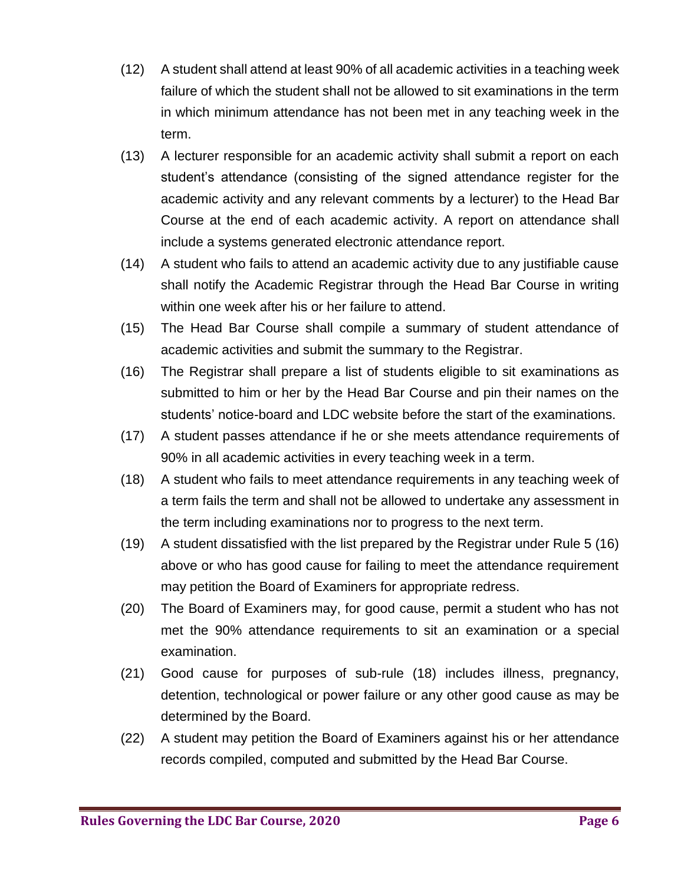- (12) A student shall attend at least 90% of all academic activities in a teaching week failure of which the student shall not be allowed to sit examinations in the term in which minimum attendance has not been met in any teaching week in the term.
- (13) A lecturer responsible for an academic activity shall submit a report on each student's attendance (consisting of the signed attendance register for the academic activity and any relevant comments by a lecturer) to the Head Bar Course at the end of each academic activity. A report on attendance shall include a systems generated electronic attendance report.
- (14) A student who fails to attend an academic activity due to any justifiable cause shall notify the Academic Registrar through the Head Bar Course in writing within one week after his or her failure to attend.
- (15) The Head Bar Course shall compile a summary of student attendance of academic activities and submit the summary to the Registrar.
- (16) The Registrar shall prepare a list of students eligible to sit examinations as submitted to him or her by the Head Bar Course and pin their names on the students' notice-board and LDC website before the start of the examinations.
- (17) A student passes attendance if he or she meets attendance requirements of 90% in all academic activities in every teaching week in a term.
- (18) A student who fails to meet attendance requirements in any teaching week of a term fails the term and shall not be allowed to undertake any assessment in the term including examinations nor to progress to the next term.
- (19) A student dissatisfied with the list prepared by the Registrar under Rule 5 (16) above or who has good cause for failing to meet the attendance requirement may petition the Board of Examiners for appropriate redress.
- (20) The Board of Examiners may, for good cause, permit a student who has not met the 90% attendance requirements to sit an examination or a special examination.
- (21) Good cause for purposes of sub-rule (18) includes illness, pregnancy, detention, technological or power failure or any other good cause as may be determined by the Board.
- (22) A student may petition the Board of Examiners against his or her attendance records compiled, computed and submitted by the Head Bar Course.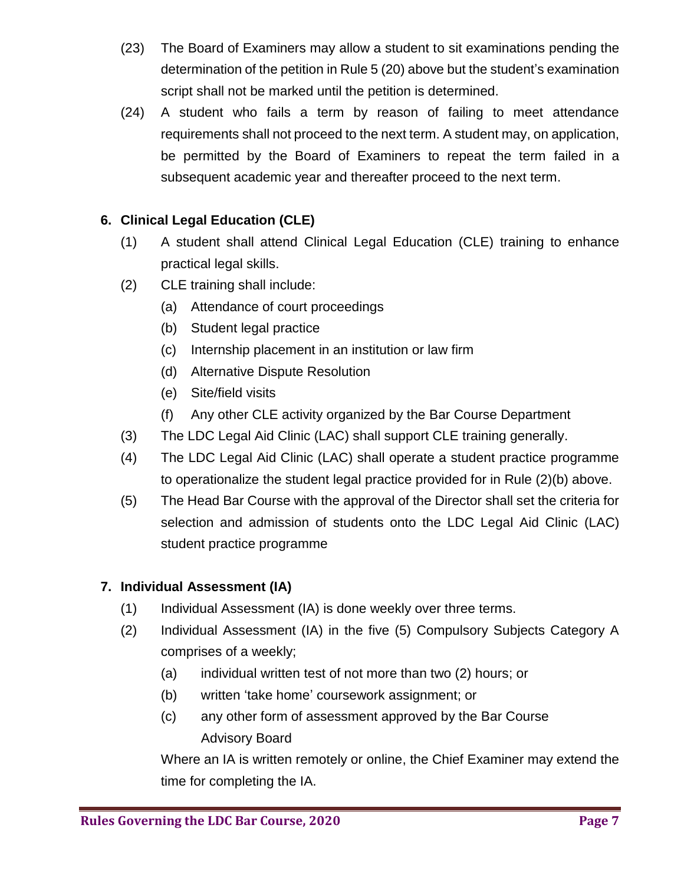- (23) The Board of Examiners may allow a student to sit examinations pending the determination of the petition in Rule 5 (20) above but the student's examination script shall not be marked until the petition is determined.
- (24) A student who fails a term by reason of failing to meet attendance requirements shall not proceed to the next term. A student may, on application, be permitted by the Board of Examiners to repeat the term failed in a subsequent academic year and thereafter proceed to the next term.

# **6. Clinical Legal Education (CLE)**

- (1) A student shall attend Clinical Legal Education (CLE) training to enhance practical legal skills.
- (2) CLE training shall include:
	- (a) Attendance of court proceedings
	- (b) Student legal practice
	- (c) Internship placement in an institution or law firm
	- (d) Alternative Dispute Resolution
	- (e) Site/field visits
	- (f) Any other CLE activity organized by the Bar Course Department
- (3) The LDC Legal Aid Clinic (LAC) shall support CLE training generally.
- (4) The LDC Legal Aid Clinic (LAC) shall operate a student practice programme to operationalize the student legal practice provided for in Rule (2)(b) above.
- (5) The Head Bar Course with the approval of the Director shall set the criteria for selection and admission of students onto the LDC Legal Aid Clinic (LAC) student practice programme

# **7. Individual Assessment (IA)**

- (1) Individual Assessment (IA) is done weekly over three terms.
- (2) Individual Assessment (IA) in the five (5) Compulsory Subjects Category A comprises of a weekly;
	- (a) individual written test of not more than two (2) hours; or
	- (b) written 'take home' coursework assignment; or
	- (c) any other form of assessment approved by the Bar Course Advisory Board

Where an IA is written remotely or online, the Chief Examiner may extend the time for completing the IA.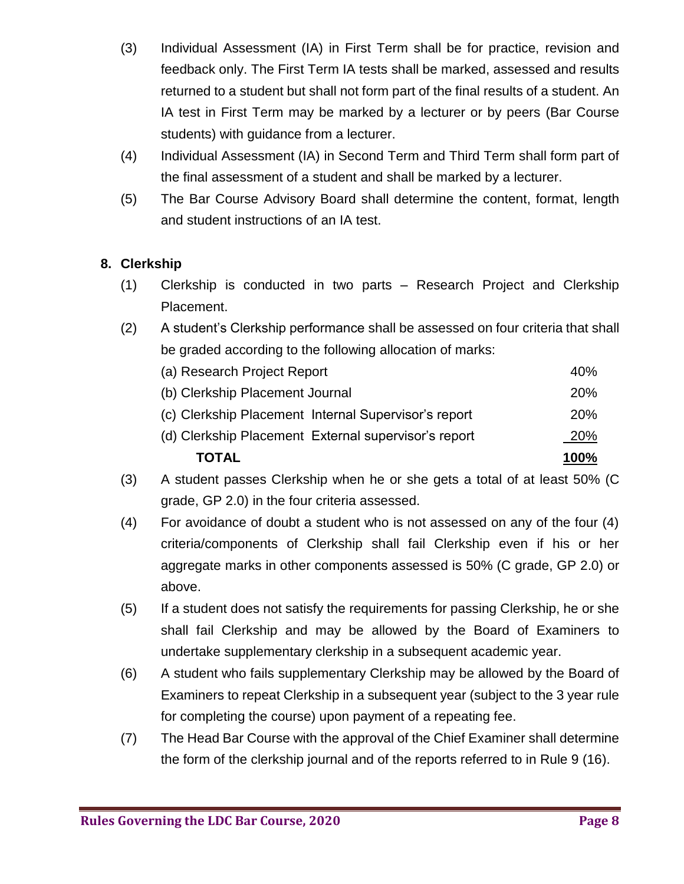- (3) Individual Assessment (IA) in First Term shall be for practice, revision and feedback only. The First Term IA tests shall be marked, assessed and results returned to a student but shall not form part of the final results of a student. An IA test in First Term may be marked by a lecturer or by peers (Bar Course students) with guidance from a lecturer.
- (4) Individual Assessment (IA) in Second Term and Third Term shall form part of the final assessment of a student and shall be marked by a lecturer.
- (5) The Bar Course Advisory Board shall determine the content, format, length and student instructions of an IA test.

# **8. Clerkship**

- (1) Clerkship is conducted in two parts Research Project and Clerkship Placement.
- (2) A student's Clerkship performance shall be assessed on four criteria that shall be graded according to the following allocation of marks:

| <b>TOTAL</b>                                         | 100%       |
|------------------------------------------------------|------------|
| (d) Clerkship Placement External supervisor's report | 20%        |
| (c) Clerkship Placement Internal Supervisor's report | <b>20%</b> |
| (b) Clerkship Placement Journal                      | <b>20%</b> |
| (a) Research Project Report                          | 40%        |

- (3) A student passes Clerkship when he or she gets a total of at least 50% (C grade, GP 2.0) in the four criteria assessed.
- (4) For avoidance of doubt a student who is not assessed on any of the four (4) criteria/components of Clerkship shall fail Clerkship even if his or her aggregate marks in other components assessed is 50% (C grade, GP 2.0) or above.
- (5) If a student does not satisfy the requirements for passing Clerkship, he or she shall fail Clerkship and may be allowed by the Board of Examiners to undertake supplementary clerkship in a subsequent academic year.
- (6) A student who fails supplementary Clerkship may be allowed by the Board of Examiners to repeat Clerkship in a subsequent year (subject to the 3 year rule for completing the course) upon payment of a repeating fee.
- (7) The Head Bar Course with the approval of the Chief Examiner shall determine the form of the clerkship journal and of the reports referred to in Rule 9 (16).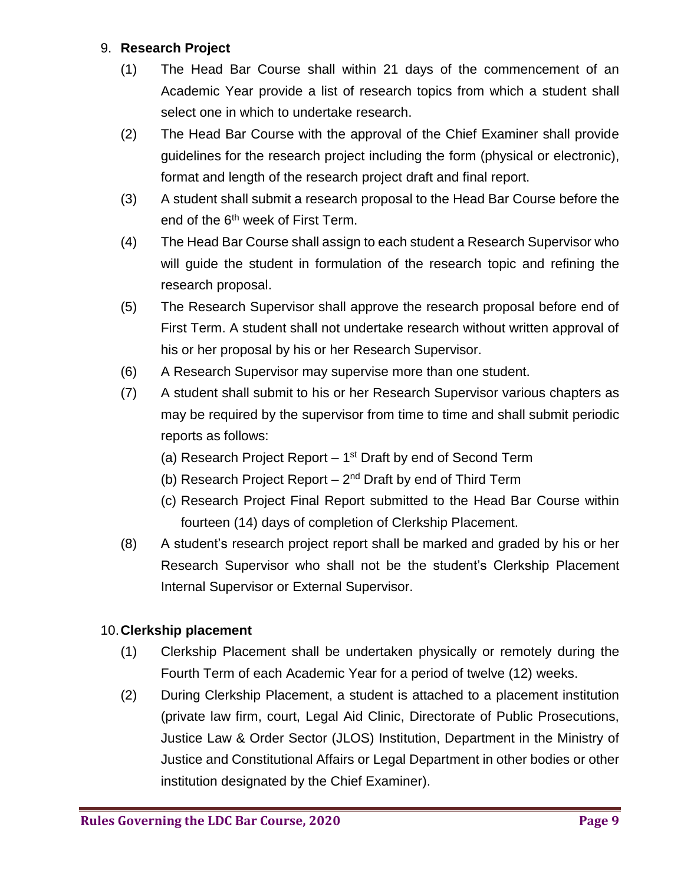## 9. **Research Project**

- (1) The Head Bar Course shall within 21 days of the commencement of an Academic Year provide a list of research topics from which a student shall select one in which to undertake research.
- (2) The Head Bar Course with the approval of the Chief Examiner shall provide guidelines for the research project including the form (physical or electronic), format and length of the research project draft and final report.
- (3) A student shall submit a research proposal to the Head Bar Course before the end of the  $6<sup>th</sup>$  week of First Term.
- (4) The Head Bar Course shall assign to each student a Research Supervisor who will guide the student in formulation of the research topic and refining the research proposal.
- (5) The Research Supervisor shall approve the research proposal before end of First Term. A student shall not undertake research without written approval of his or her proposal by his or her Research Supervisor.
- (6) A Research Supervisor may supervise more than one student.
- (7) A student shall submit to his or her Research Supervisor various chapters as may be required by the supervisor from time to time and shall submit periodic reports as follows:
	- (a) Research Project Report  $-1<sup>st</sup>$  Draft by end of Second Term
	- (b) Research Project Report  $-2<sup>nd</sup>$  Draft by end of Third Term
	- (c) Research Project Final Report submitted to the Head Bar Course within fourteen (14) days of completion of Clerkship Placement.
- (8) A student's research project report shall be marked and graded by his or her Research Supervisor who shall not be the student's Clerkship Placement Internal Supervisor or External Supervisor.

### 10.**Clerkship placement**

- (1) Clerkship Placement shall be undertaken physically or remotely during the Fourth Term of each Academic Year for a period of twelve (12) weeks.
- (2) During Clerkship Placement, a student is attached to a placement institution (private law firm, court, Legal Aid Clinic, Directorate of Public Prosecutions, Justice Law & Order Sector (JLOS) Institution, Department in the Ministry of Justice and Constitutional Affairs or Legal Department in other bodies or other institution designated by the Chief Examiner).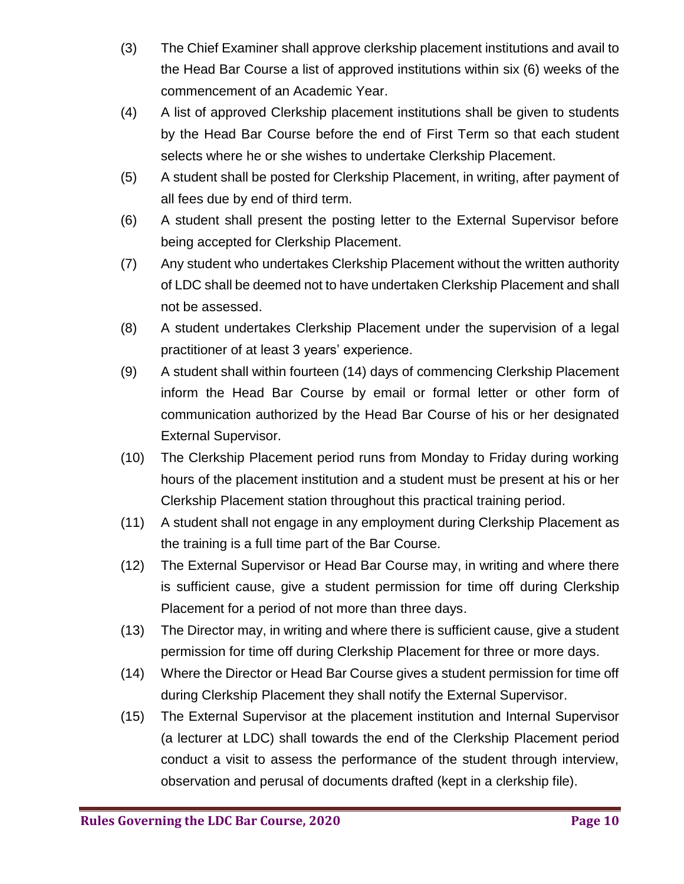- (3) The Chief Examiner shall approve clerkship placement institutions and avail to the Head Bar Course a list of approved institutions within six (6) weeks of the commencement of an Academic Year.
- (4) A list of approved Clerkship placement institutions shall be given to students by the Head Bar Course before the end of First Term so that each student selects where he or she wishes to undertake Clerkship Placement.
- (5) A student shall be posted for Clerkship Placement, in writing, after payment of all fees due by end of third term.
- (6) A student shall present the posting letter to the External Supervisor before being accepted for Clerkship Placement.
- (7) Any student who undertakes Clerkship Placement without the written authority of LDC shall be deemed not to have undertaken Clerkship Placement and shall not be assessed.
- (8) A student undertakes Clerkship Placement under the supervision of a legal practitioner of at least 3 years' experience.
- (9) A student shall within fourteen (14) days of commencing Clerkship Placement inform the Head Bar Course by email or formal letter or other form of communication authorized by the Head Bar Course of his or her designated External Supervisor.
- (10) The Clerkship Placement period runs from Monday to Friday during working hours of the placement institution and a student must be present at his or her Clerkship Placement station throughout this practical training period.
- (11) A student shall not engage in any employment during Clerkship Placement as the training is a full time part of the Bar Course.
- (12) The External Supervisor or Head Bar Course may, in writing and where there is sufficient cause, give a student permission for time off during Clerkship Placement for a period of not more than three days.
- (13) The Director may, in writing and where there is sufficient cause, give a student permission for time off during Clerkship Placement for three or more days.
- (14) Where the Director or Head Bar Course gives a student permission for time off during Clerkship Placement they shall notify the External Supervisor.
- (15) The External Supervisor at the placement institution and Internal Supervisor (a lecturer at LDC) shall towards the end of the Clerkship Placement period conduct a visit to assess the performance of the student through interview, observation and perusal of documents drafted (kept in a clerkship file).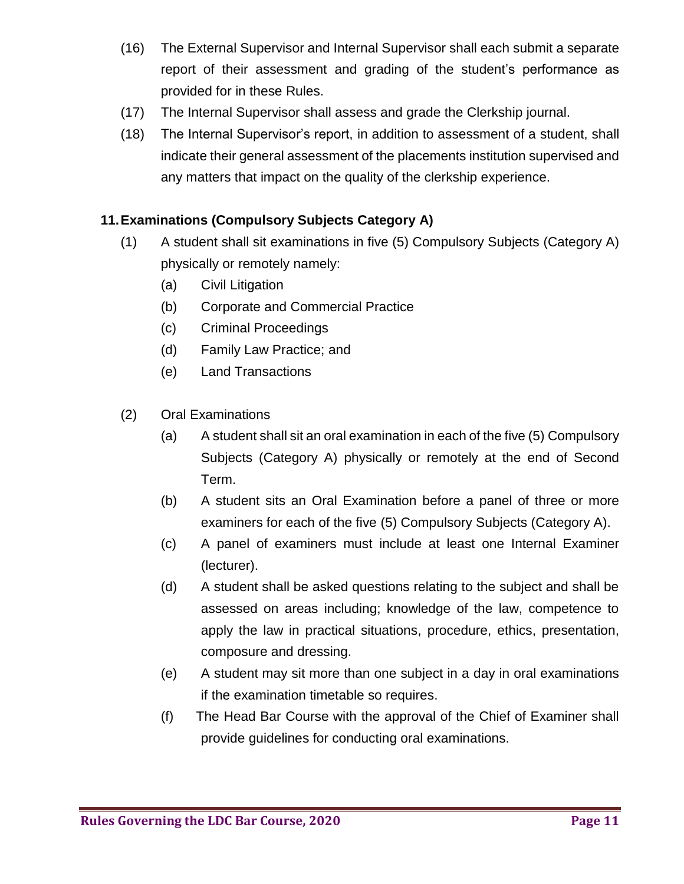- (16) The External Supervisor and Internal Supervisor shall each submit a separate report of their assessment and grading of the student's performance as provided for in these Rules.
- (17) The Internal Supervisor shall assess and grade the Clerkship journal.
- (18) The Internal Supervisor's report, in addition to assessment of a student, shall indicate their general assessment of the placements institution supervised and any matters that impact on the quality of the clerkship experience.

## **11.Examinations (Compulsory Subjects Category A)**

- (1) A student shall sit examinations in five (5) Compulsory Subjects (Category A) physically or remotely namely:
	- (a) Civil Litigation
	- (b) Corporate and Commercial Practice
	- (c) Criminal Proceedings
	- (d) Family Law Practice; and
	- (e) Land Transactions
- (2) Oral Examinations
	- (a) A student shall sit an oral examination in each of the five (5) Compulsory Subjects (Category A) physically or remotely at the end of Second Term.
	- (b) A student sits an Oral Examination before a panel of three or more examiners for each of the five (5) Compulsory Subjects (Category A).
	- (c) A panel of examiners must include at least one Internal Examiner (lecturer).
	- (d) A student shall be asked questions relating to the subject and shall be assessed on areas including; knowledge of the law, competence to apply the law in practical situations, procedure, ethics, presentation, composure and dressing.
	- (e) A student may sit more than one subject in a day in oral examinations if the examination timetable so requires.
	- (f) The Head Bar Course with the approval of the Chief of Examiner shall provide guidelines for conducting oral examinations.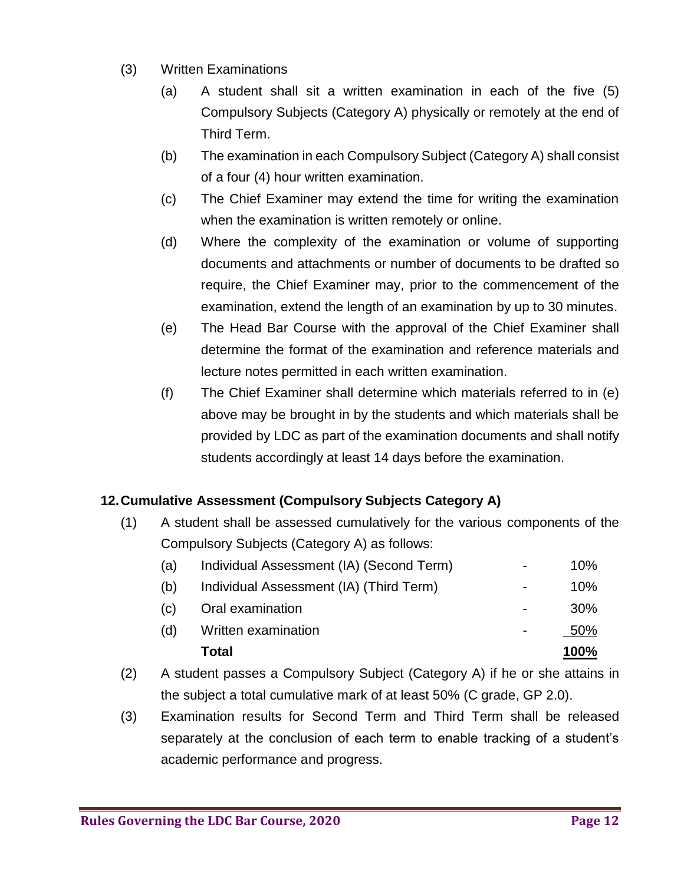- (3) Written Examinations
	- (a) A student shall sit a written examination in each of the five (5) Compulsory Subjects (Category A) physically or remotely at the end of Third Term.
	- (b) The examination in each Compulsory Subject (Category A) shall consist of a four (4) hour written examination.
	- (c) The Chief Examiner may extend the time for writing the examination when the examination is written remotely or online.
	- (d) Where the complexity of the examination or volume of supporting documents and attachments or number of documents to be drafted so require, the Chief Examiner may, prior to the commencement of the examination, extend the length of an examination by up to 30 minutes.
	- (e) The Head Bar Course with the approval of the Chief Examiner shall determine the format of the examination and reference materials and lecture notes permitted in each written examination.
	- (f) The Chief Examiner shall determine which materials referred to in (e) above may be brought in by the students and which materials shall be provided by LDC as part of the examination documents and shall notify students accordingly at least 14 days before the examination.

# **12.Cumulative Assessment (Compulsory Subjects Category A)**

(1) A student shall be assessed cumulatively for the various components of the Compulsory Subjects (Category A) as follows:

|     | Total                                    |                | 100%       |
|-----|------------------------------------------|----------------|------------|
| (d) | Written examination                      |                | 50%        |
| (c) | Oral examination                         |                | <b>30%</b> |
| (b) | Individual Assessment (IA) (Third Term)  | $\blacksquare$ | 10%        |
| (a) | Individual Assessment (IA) (Second Term) |                | 10%        |

- (2) A student passes a Compulsory Subject (Category A) if he or she attains in the subject a total cumulative mark of at least 50% (C grade, GP 2.0).
- (3) Examination results for Second Term and Third Term shall be released separately at the conclusion of each term to enable tracking of a student's academic performance and progress.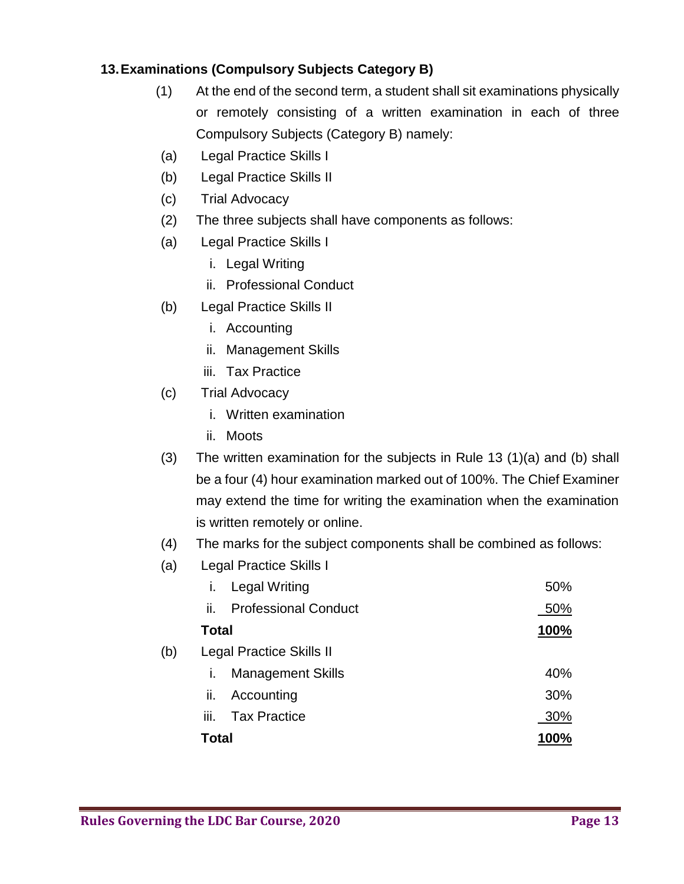# **13.Examinations (Compulsory Subjects Category B)**

- (1) At the end of the second term, a student shall sit examinations physically or remotely consisting of a written examination in each of three Compulsory Subjects (Category B) namely:
- (a) Legal Practice Skills I
- (b) Legal Practice Skills II
- (c) Trial Advocacy
- (2) The three subjects shall have components as follows:
- (a) Legal Practice Skills I
	- i. Legal Writing
	- ii. Professional Conduct
- (b) Legal Practice Skills II
	- i. Accounting
	- ii. Management Skills
	- iii. Tax Practice
- (c) Trial Advocacy
	- i. Written examination
	- ii. Moots
- (3) The written examination for the subjects in Rule 13 (1)(a) and (b) shall be a four (4) hour examination marked out of 100%. The Chief Examiner may extend the time for writing the examination when the examination is written remotely or online.
- (4) The marks for the subject components shall be combined as follows:
- (a) Legal Practice Skills I

|     | ı.                              | <b>Legal Writing</b>        | 50%  |
|-----|---------------------------------|-----------------------------|------|
|     | ii.                             | <b>Professional Conduct</b> | 50%  |
|     | <b>Total</b>                    |                             | 100% |
| (b) | <b>Legal Practice Skills II</b> |                             |      |
|     | T.                              | <b>Management Skills</b>    | 40%  |
|     | н.                              | Accounting                  | 30%  |
|     | iii.                            | <b>Tax Practice</b>         | 30%  |
|     | <b>Total</b>                    |                             | 100% |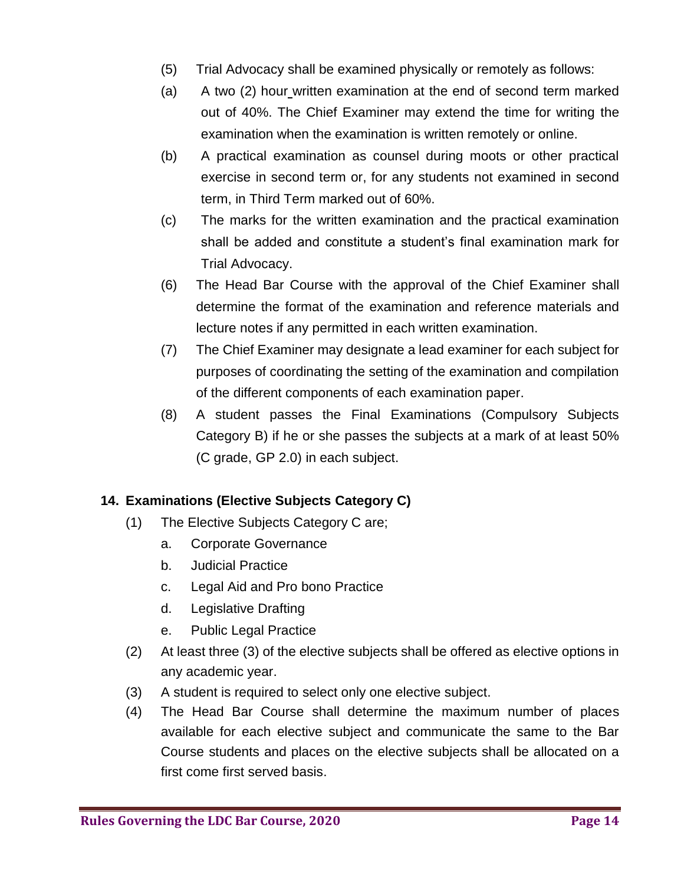- (5) Trial Advocacy shall be examined physically or remotely as follows:
- (a) A two (2) hour written examination at the end of second term marked out of 40%. The Chief Examiner may extend the time for writing the examination when the examination is written remotely or online.
- (b) A practical examination as counsel during moots or other practical exercise in second term or, for any students not examined in second term, in Third Term marked out of 60%.
- (c) The marks for the written examination and the practical examination shall be added and constitute a student's final examination mark for Trial Advocacy.
- (6) The Head Bar Course with the approval of the Chief Examiner shall determine the format of the examination and reference materials and lecture notes if any permitted in each written examination.
- (7) The Chief Examiner may designate a lead examiner for each subject for purposes of coordinating the setting of the examination and compilation of the different components of each examination paper.
- (8) A student passes the Final Examinations (Compulsory Subjects Category B) if he or she passes the subjects at a mark of at least 50% (C grade, GP 2.0) in each subject.

# **14. Examinations (Elective Subjects Category C)**

- (1) The Elective Subjects Category C are;
	- a. Corporate Governance
	- b. Judicial Practice
	- c. Legal Aid and Pro bono Practice
	- d. Legislative Drafting
	- e. Public Legal Practice
- (2) At least three (3) of the elective subjects shall be offered as elective options in any academic year.
- (3) A student is required to select only one elective subject.
- (4) The Head Bar Course shall determine the maximum number of places available for each elective subject and communicate the same to the Bar Course students and places on the elective subjects shall be allocated on a first come first served basis.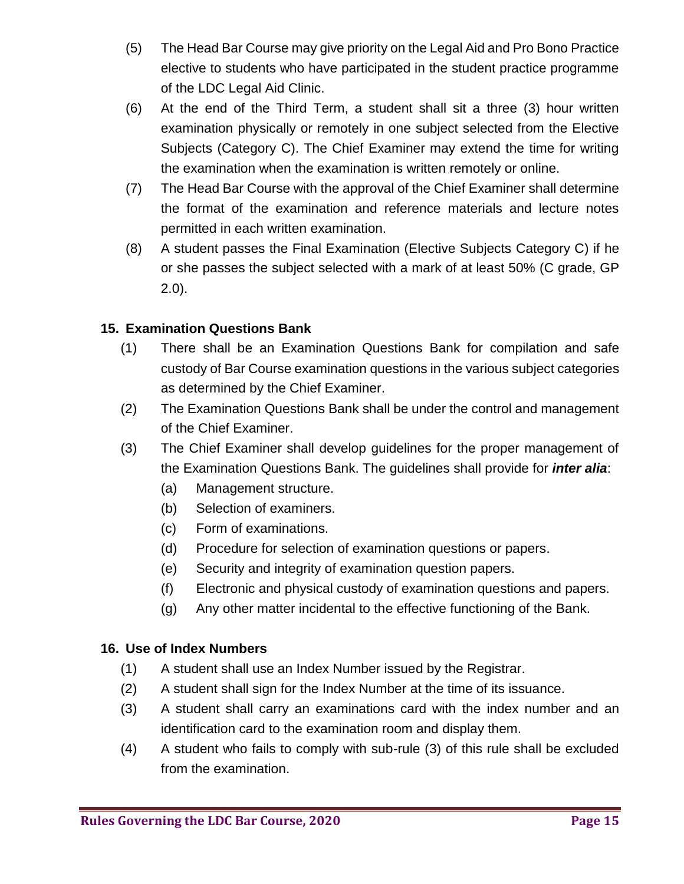- (5) The Head Bar Course may give priority on the Legal Aid and Pro Bono Practice elective to students who have participated in the student practice programme of the LDC Legal Aid Clinic.
- (6) At the end of the Third Term, a student shall sit a three (3) hour written examination physically or remotely in one subject selected from the Elective Subjects (Category C). The Chief Examiner may extend the time for writing the examination when the examination is written remotely or online.
- (7) The Head Bar Course with the approval of the Chief Examiner shall determine the format of the examination and reference materials and lecture notes permitted in each written examination.
- (8) A student passes the Final Examination (Elective Subjects Category C) if he or she passes the subject selected with a mark of at least 50% (C grade, GP 2.0).

## **15. Examination Questions Bank**

- (1) There shall be an Examination Questions Bank for compilation and safe custody of Bar Course examination questions in the various subject categories as determined by the Chief Examiner.
- (2) The Examination Questions Bank shall be under the control and management of the Chief Examiner.
- (3) The Chief Examiner shall develop guidelines for the proper management of the Examination Questions Bank. The guidelines shall provide for *inter alia*:
	- (a) Management structure.
	- (b) Selection of examiners.
	- (c) Form of examinations.
	- (d) Procedure for selection of examination questions or papers.
	- (e) Security and integrity of examination question papers.
	- (f) Electronic and physical custody of examination questions and papers.
	- (g) Any other matter incidental to the effective functioning of the Bank.

### **16. Use of Index Numbers**

- (1) A student shall use an Index Number issued by the Registrar.
- (2) A student shall sign for the Index Number at the time of its issuance.
- (3) A student shall carry an examinations card with the index number and an identification card to the examination room and display them.
- (4) A student who fails to comply with sub-rule (3) of this rule shall be excluded from the examination.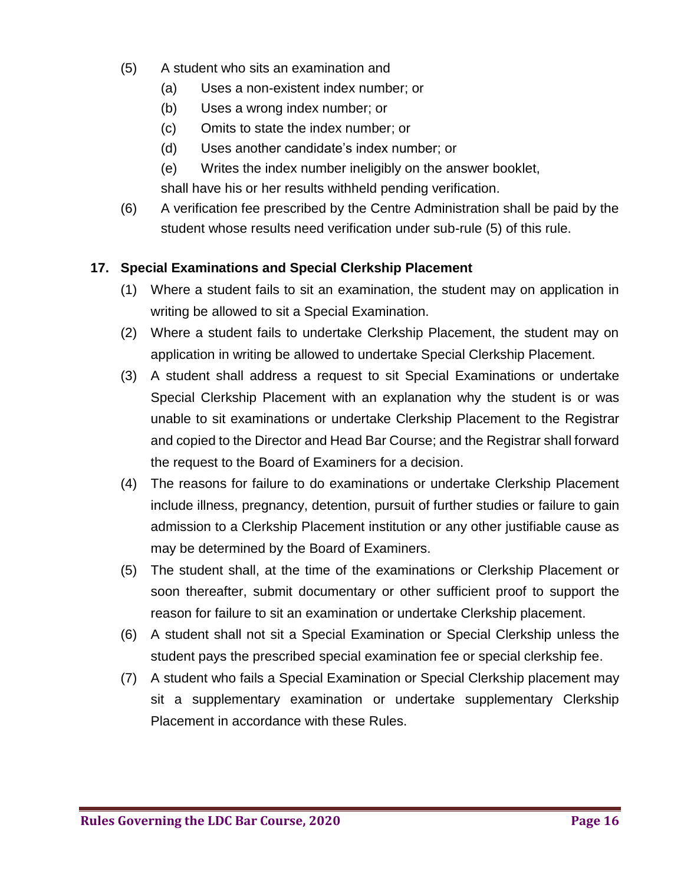- (5) A student who sits an examination and
	- (a) Uses a non-existent index number; or
	- (b) Uses a wrong index number; or
	- (c) Omits to state the index number; or
	- (d) Uses another candidate's index number; or
	- (e) Writes the index number ineligibly on the answer booklet, shall have his or her results withheld pending verification.
- (6) A verification fee prescribed by the Centre Administration shall be paid by the student whose results need verification under sub-rule (5) of this rule.

## **17. Special Examinations and Special Clerkship Placement**

- (1) Where a student fails to sit an examination, the student may on application in writing be allowed to sit a Special Examination.
- (2) Where a student fails to undertake Clerkship Placement, the student may on application in writing be allowed to undertake Special Clerkship Placement.
- (3) A student shall address a request to sit Special Examinations or undertake Special Clerkship Placement with an explanation why the student is or was unable to sit examinations or undertake Clerkship Placement to the Registrar and copied to the Director and Head Bar Course; and the Registrar shall forward the request to the Board of Examiners for a decision.
- (4) The reasons for failure to do examinations or undertake Clerkship Placement include illness, pregnancy, detention, pursuit of further studies or failure to gain admission to a Clerkship Placement institution or any other justifiable cause as may be determined by the Board of Examiners.
- (5) The student shall, at the time of the examinations or Clerkship Placement or soon thereafter, submit documentary or other sufficient proof to support the reason for failure to sit an examination or undertake Clerkship placement.
- (6) A student shall not sit a Special Examination or Special Clerkship unless the student pays the prescribed special examination fee or special clerkship fee.
- (7) A student who fails a Special Examination or Special Clerkship placement may sit a supplementary examination or undertake supplementary Clerkship Placement in accordance with these Rules.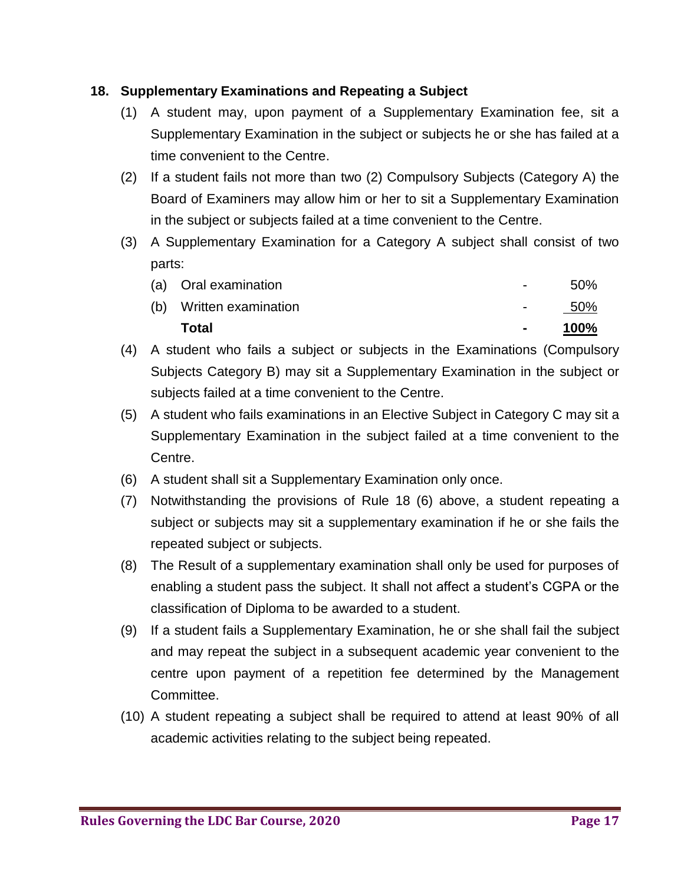### **18. Supplementary Examinations and Repeating a Subject**

- (1) A student may, upon payment of a Supplementary Examination fee, sit a Supplementary Examination in the subject or subjects he or she has failed at a time convenient to the Centre.
- (2) If a student fails not more than two (2) Compulsory Subjects (Category A) the Board of Examiners may allow him or her to sit a Supplementary Examination in the subject or subjects failed at a time convenient to the Centre.
- (3) A Supplementary Examination for a Category A subject shall consist of two parts:

| Total                   | $\sim$         | 100%  |
|-------------------------|----------------|-------|
| (b) Written examination | $\sim$         | - 50% |
| (a) Oral examination    | $\blacksquare$ | .50%  |

- (4) A student who fails a subject or subjects in the Examinations (Compulsory Subjects Category B) may sit a Supplementary Examination in the subject or subjects failed at a time convenient to the Centre.
- (5) A student who fails examinations in an Elective Subject in Category C may sit a Supplementary Examination in the subject failed at a time convenient to the Centre.
- (6) A student shall sit a Supplementary Examination only once.
- (7) Notwithstanding the provisions of Rule 18 (6) above, a student repeating a subject or subjects may sit a supplementary examination if he or she fails the repeated subject or subjects.
- (8) The Result of a supplementary examination shall only be used for purposes of enabling a student pass the subject. It shall not affect a student's CGPA or the classification of Diploma to be awarded to a student.
- (9) If a student fails a Supplementary Examination, he or she shall fail the subject and may repeat the subject in a subsequent academic year convenient to the centre upon payment of a repetition fee determined by the Management Committee.
- (10) A student repeating a subject shall be required to attend at least 90% of all academic activities relating to the subject being repeated.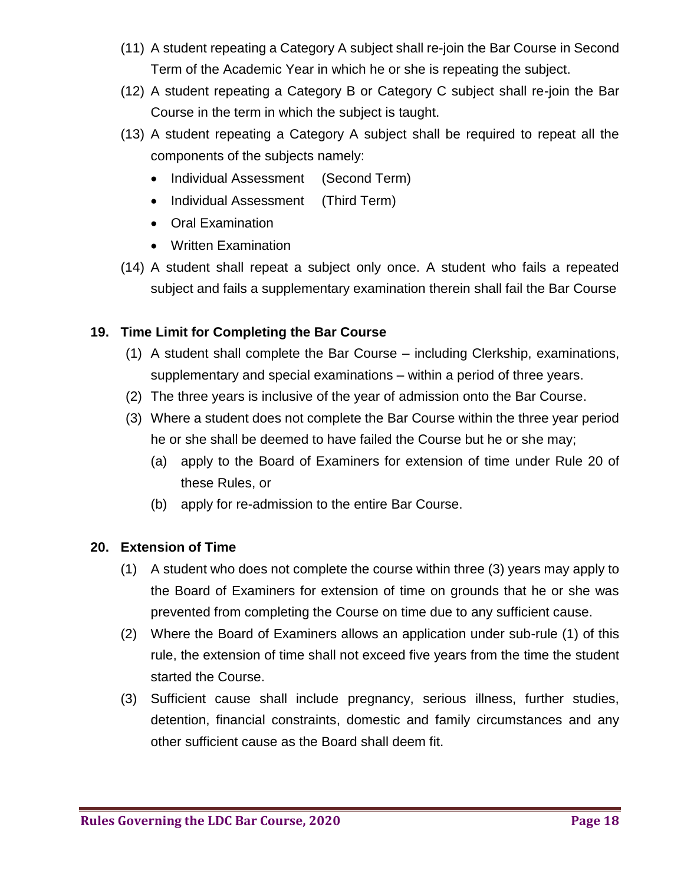- (11) A student repeating a Category A subject shall re-join the Bar Course in Second Term of the Academic Year in which he or she is repeating the subject.
- (12) A student repeating a Category B or Category C subject shall re-join the Bar Course in the term in which the subject is taught.
- (13) A student repeating a Category A subject shall be required to repeat all the components of the subjects namely:
	- Individual Assessment (Second Term)
	- Individual Assessment (Third Term)
	- Oral Examination
	- Written Examination
- (14) A student shall repeat a subject only once. A student who fails a repeated subject and fails a supplementary examination therein shall fail the Bar Course

### **19. Time Limit for Completing the Bar Course**

- (1) A student shall complete the Bar Course including Clerkship, examinations, supplementary and special examinations – within a period of three years.
- (2) The three years is inclusive of the year of admission onto the Bar Course.
- (3) Where a student does not complete the Bar Course within the three year period he or she shall be deemed to have failed the Course but he or she may;
	- (a) apply to the Board of Examiners for extension of time under Rule 20 of these Rules, or
	- (b) apply for re-admission to the entire Bar Course.

#### **20. Extension of Time**

- (1) A student who does not complete the course within three (3) years may apply to the Board of Examiners for extension of time on grounds that he or she was prevented from completing the Course on time due to any sufficient cause.
- (2) Where the Board of Examiners allows an application under sub-rule (1) of this rule, the extension of time shall not exceed five years from the time the student started the Course.
- (3) Sufficient cause shall include pregnancy, serious illness, further studies, detention, financial constraints, domestic and family circumstances and any other sufficient cause as the Board shall deem fit.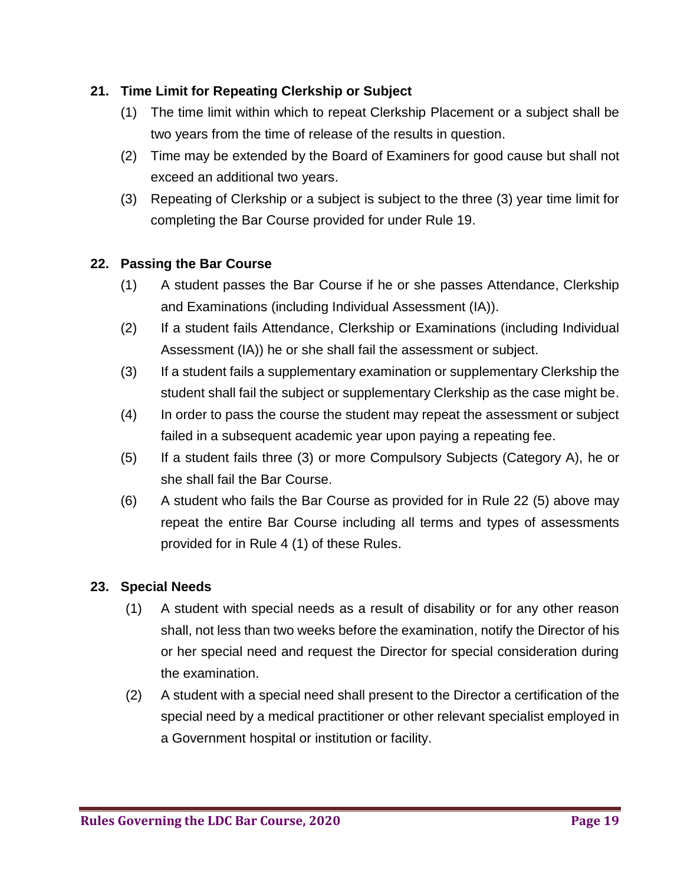## **21. Time Limit for Repeating Clerkship or Subject**

- (1) The time limit within which to repeat Clerkship Placement or a subject shall be two years from the time of release of the results in question.
- (2) Time may be extended by the Board of Examiners for good cause but shall not exceed an additional two years.
- (3) Repeating of Clerkship or a subject is subject to the three (3) year time limit for completing the Bar Course provided for under Rule 19.

### **22. Passing the Bar Course**

- (1) A student passes the Bar Course if he or she passes Attendance, Clerkship and Examinations (including Individual Assessment (IA)).
- (2) If a student fails Attendance, Clerkship or Examinations (including Individual Assessment (IA)) he or she shall fail the assessment or subject.
- (3) If a student fails a supplementary examination or supplementary Clerkship the student shall fail the subject or supplementary Clerkship as the case might be.
- (4) In order to pass the course the student may repeat the assessment or subject failed in a subsequent academic year upon paying a repeating fee.
- (5) If a student fails three (3) or more Compulsory Subjects (Category A), he or she shall fail the Bar Course.
- (6) A student who fails the Bar Course as provided for in Rule 22 (5) above may repeat the entire Bar Course including all terms and types of assessments provided for in Rule 4 (1) of these Rules.

#### **23. Special Needs**

- (1) A student with special needs as a result of disability or for any other reason shall, not less than two weeks before the examination, notify the Director of his or her special need and request the Director for special consideration during the examination.
- (2) A student with a special need shall present to the Director a certification of the special need by a medical practitioner or other relevant specialist employed in a Government hospital or institution or facility.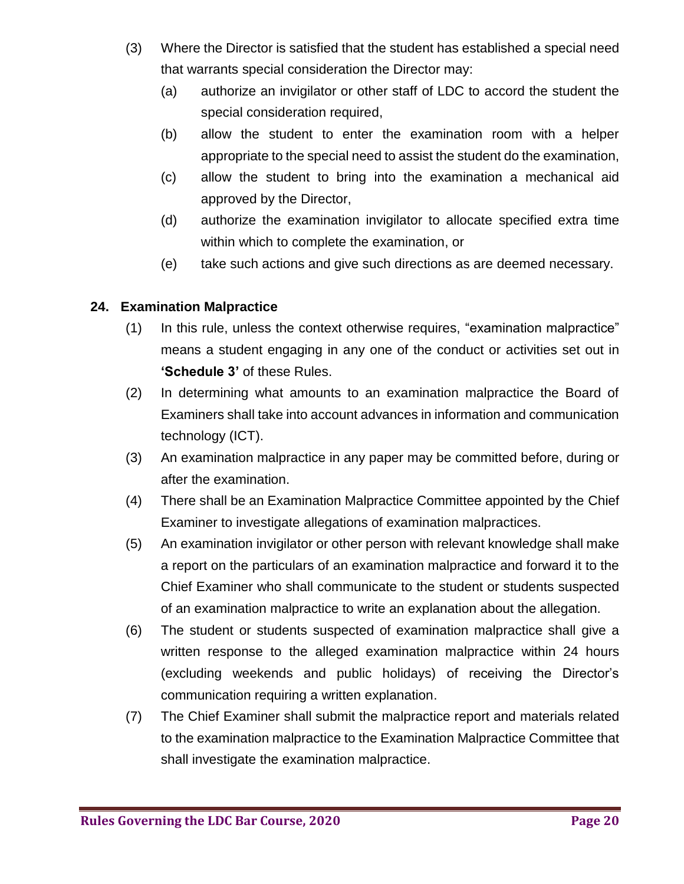- (3) Where the Director is satisfied that the student has established a special need that warrants special consideration the Director may:
	- (a) authorize an invigilator or other staff of LDC to accord the student the special consideration required,
	- (b) allow the student to enter the examination room with a helper appropriate to the special need to assist the student do the examination,
	- (c) allow the student to bring into the examination a mechanical aid approved by the Director,
	- (d) authorize the examination invigilator to allocate specified extra time within which to complete the examination, or
	- (e) take such actions and give such directions as are deemed necessary.

#### **24. Examination Malpractice**

- (1) In this rule, unless the context otherwise requires, "examination malpractice" means a student engaging in any one of the conduct or activities set out in **'Schedule 3'** of these Rules.
- (2) In determining what amounts to an examination malpractice the Board of Examiners shall take into account advances in information and communication technology (ICT).
- (3) An examination malpractice in any paper may be committed before, during or after the examination.
- (4) There shall be an Examination Malpractice Committee appointed by the Chief Examiner to investigate allegations of examination malpractices.
- (5) An examination invigilator or other person with relevant knowledge shall make a report on the particulars of an examination malpractice and forward it to the Chief Examiner who shall communicate to the student or students suspected of an examination malpractice to write an explanation about the allegation.
- (6) The student or students suspected of examination malpractice shall give a written response to the alleged examination malpractice within 24 hours (excluding weekends and public holidays) of receiving the Director's communication requiring a written explanation.
- (7) The Chief Examiner shall submit the malpractice report and materials related to the examination malpractice to the Examination Malpractice Committee that shall investigate the examination malpractice.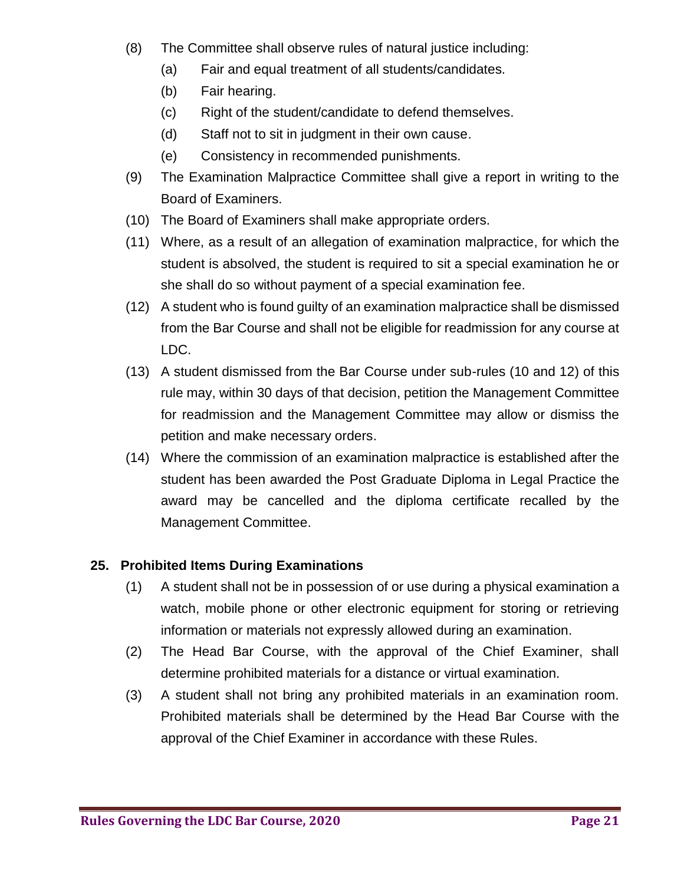- (8) The Committee shall observe rules of natural justice including:
	- (a) Fair and equal treatment of all students/candidates.
	- (b) Fair hearing.
	- (c) Right of the student/candidate to defend themselves.
	- (d) Staff not to sit in judgment in their own cause.
	- (e) Consistency in recommended punishments.
- (9) The Examination Malpractice Committee shall give a report in writing to the Board of Examiners.
- (10) The Board of Examiners shall make appropriate orders.
- (11) Where, as a result of an allegation of examination malpractice, for which the student is absolved, the student is required to sit a special examination he or she shall do so without payment of a special examination fee.
- (12) A student who is found guilty of an examination malpractice shall be dismissed from the Bar Course and shall not be eligible for readmission for any course at LDC.
- (13) A student dismissed from the Bar Course under sub-rules (10 and 12) of this rule may, within 30 days of that decision, petition the Management Committee for readmission and the Management Committee may allow or dismiss the petition and make necessary orders.
- (14) Where the commission of an examination malpractice is established after the student has been awarded the Post Graduate Diploma in Legal Practice the award may be cancelled and the diploma certificate recalled by the Management Committee.

# **25. Prohibited Items During Examinations**

- (1) A student shall not be in possession of or use during a physical examination a watch, mobile phone or other electronic equipment for storing or retrieving information or materials not expressly allowed during an examination.
- (2) The Head Bar Course, with the approval of the Chief Examiner, shall determine prohibited materials for a distance or virtual examination.
- (3) A student shall not bring any prohibited materials in an examination room. Prohibited materials shall be determined by the Head Bar Course with the approval of the Chief Examiner in accordance with these Rules.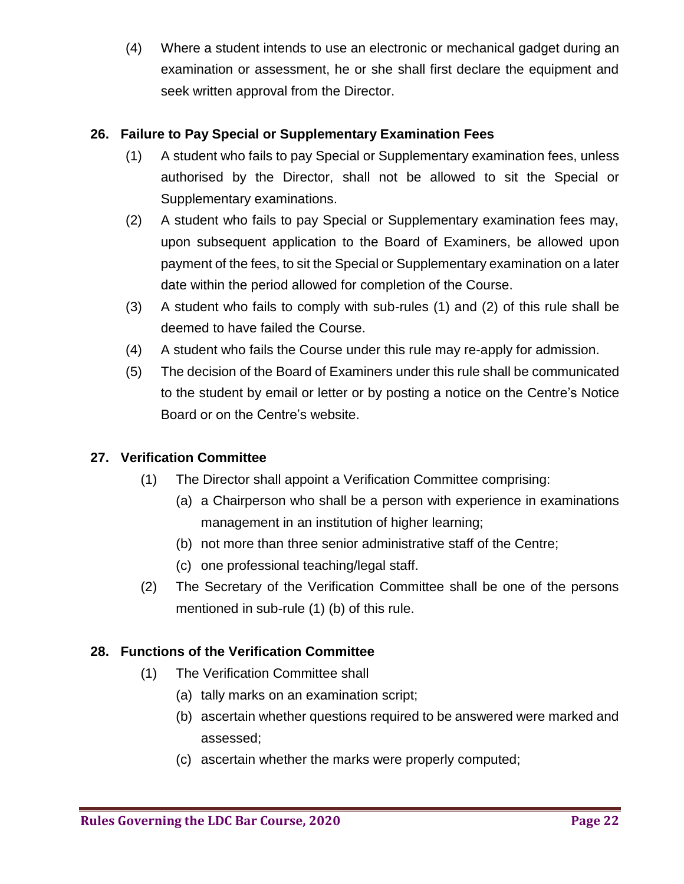(4) Where a student intends to use an electronic or mechanical gadget during an examination or assessment, he or she shall first declare the equipment and seek written approval from the Director.

## **26. Failure to Pay Special or Supplementary Examination Fees**

- (1) A student who fails to pay Special or Supplementary examination fees, unless authorised by the Director, shall not be allowed to sit the Special or Supplementary examinations.
- (2) A student who fails to pay Special or Supplementary examination fees may, upon subsequent application to the Board of Examiners, be allowed upon payment of the fees, to sit the Special or Supplementary examination on a later date within the period allowed for completion of the Course.
- (3) A student who fails to comply with sub-rules (1) and (2) of this rule shall be deemed to have failed the Course.
- (4) A student who fails the Course under this rule may re-apply for admission.
- (5) The decision of the Board of Examiners under this rule shall be communicated to the student by email or letter or by posting a notice on the Centre's Notice Board or on the Centre's website.

### **27. Verification Committee**

- (1) The Director shall appoint a Verification Committee comprising:
	- (a) a Chairperson who shall be a person with experience in examinations management in an institution of higher learning;
	- (b) not more than three senior administrative staff of the Centre;
	- (c) one professional teaching/legal staff.
- (2) The Secretary of the Verification Committee shall be one of the persons mentioned in sub-rule (1) (b) of this rule.

### **28. Functions of the Verification Committee**

- (1) The Verification Committee shall
	- (a) tally marks on an examination script;
	- (b) ascertain whether questions required to be answered were marked and assessed;
	- (c) ascertain whether the marks were properly computed;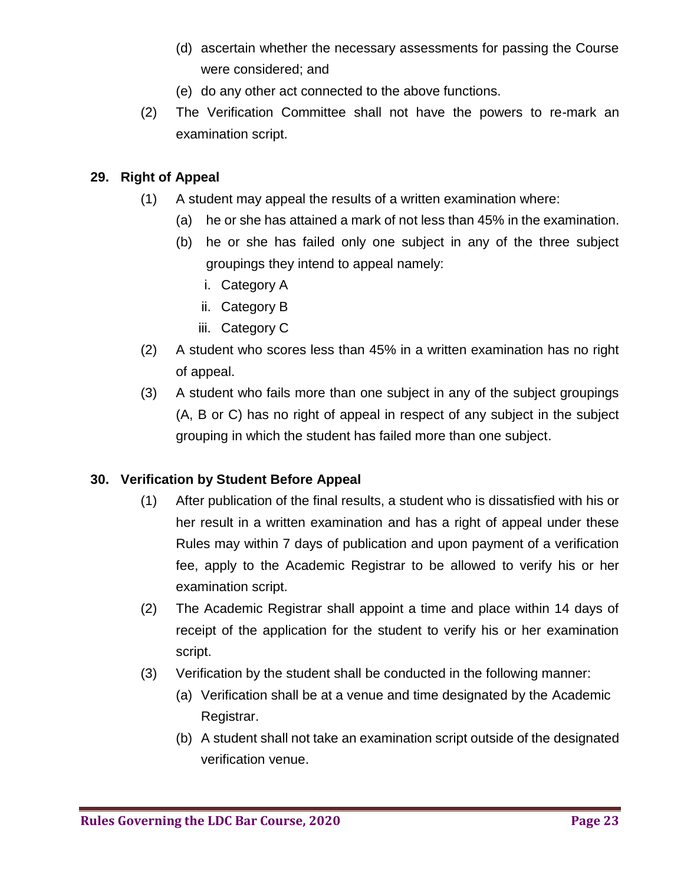- (d) ascertain whether the necessary assessments for passing the Course were considered; and
- (e) do any other act connected to the above functions.
- (2) The Verification Committee shall not have the powers to re-mark an examination script.

## **29. Right of Appeal**

- (1) A student may appeal the results of a written examination where:
	- (a) he or she has attained a mark of not less than 45% in the examination.
	- (b) he or she has failed only one subject in any of the three subject groupings they intend to appeal namely:
		- i. Category A
		- ii. Category B
		- iii. Category C
- (2) A student who scores less than 45% in a written examination has no right of appeal.
- (3) A student who fails more than one subject in any of the subject groupings (A, B or C) has no right of appeal in respect of any subject in the subject grouping in which the student has failed more than one subject.

# **30. Verification by Student Before Appeal**

- (1) After publication of the final results, a student who is dissatisfied with his or her result in a written examination and has a right of appeal under these Rules may within 7 days of publication and upon payment of a verification fee, apply to the Academic Registrar to be allowed to verify his or her examination script.
- (2) The Academic Registrar shall appoint a time and place within 14 days of receipt of the application for the student to verify his or her examination script.
- (3) Verification by the student shall be conducted in the following manner:
	- (a) Verification shall be at a venue and time designated by the Academic Registrar.
	- (b) A student shall not take an examination script outside of the designated verification venue.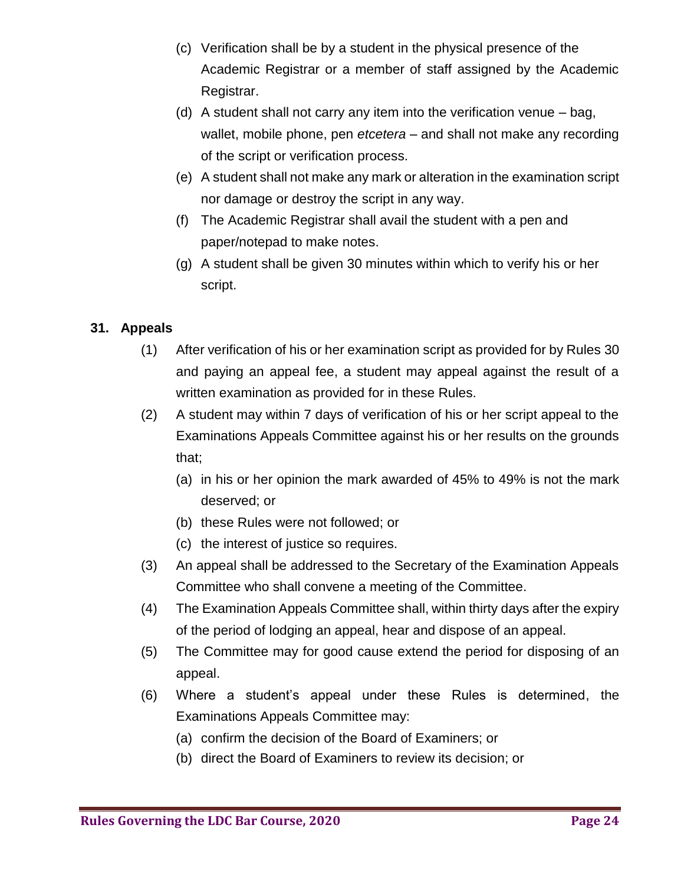- (c) Verification shall be by a student in the physical presence of the Academic Registrar or a member of staff assigned by the Academic Registrar.
- (d) A student shall not carry any item into the verification venue bag, wallet, mobile phone, pen *etcetera* – and shall not make any recording of the script or verification process.
- (e) A student shall not make any mark or alteration in the examination script nor damage or destroy the script in any way.
- (f) The Academic Registrar shall avail the student with a pen and paper/notepad to make notes.
- (g) A student shall be given 30 minutes within which to verify his or her script.

## **31. Appeals**

- (1) After verification of his or her examination script as provided for by Rules 30 and paying an appeal fee, a student may appeal against the result of a written examination as provided for in these Rules.
- (2) A student may within 7 days of verification of his or her script appeal to the Examinations Appeals Committee against his or her results on the grounds that;
	- (a) in his or her opinion the mark awarded of 45% to 49% is not the mark deserved; or
	- (b) these Rules were not followed; or
	- (c) the interest of justice so requires.
- (3) An appeal shall be addressed to the Secretary of the Examination Appeals Committee who shall convene a meeting of the Committee.
- (4) The Examination Appeals Committee shall, within thirty days after the expiry of the period of lodging an appeal, hear and dispose of an appeal.
- (5) The Committee may for good cause extend the period for disposing of an appeal.
- (6) Where a student's appeal under these Rules is determined, the Examinations Appeals Committee may:
	- (a) confirm the decision of the Board of Examiners; or
	- (b) direct the Board of Examiners to review its decision; or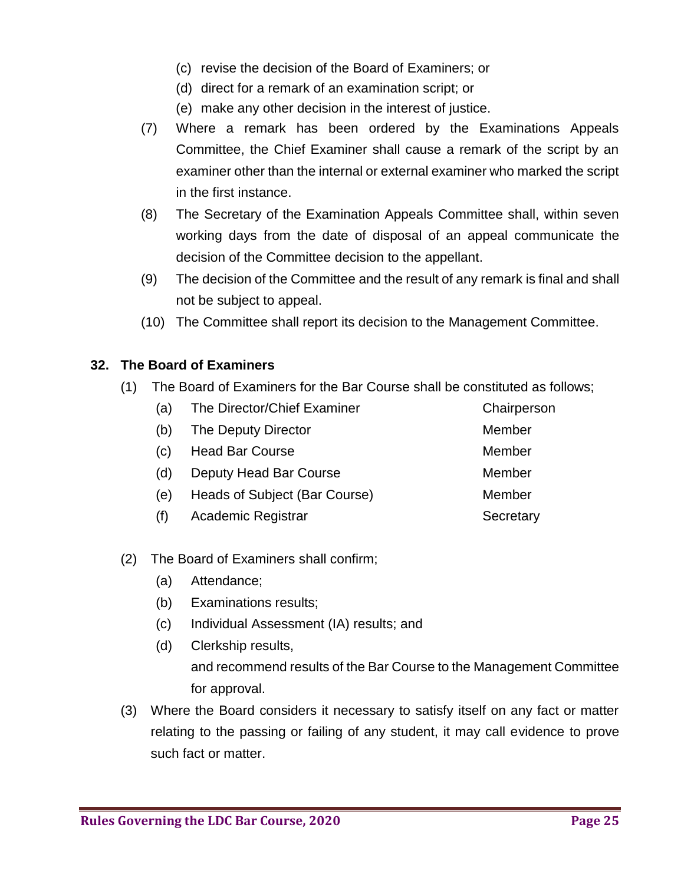- (c) revise the decision of the Board of Examiners; or
- (d) direct for a remark of an examination script; or
- (e) make any other decision in the interest of justice.
- (7) Where a remark has been ordered by the Examinations Appeals Committee, the Chief Examiner shall cause a remark of the script by an examiner other than the internal or external examiner who marked the script in the first instance.
- (8) The Secretary of the Examination Appeals Committee shall, within seven working days from the date of disposal of an appeal communicate the decision of the Committee decision to the appellant.
- (9) The decision of the Committee and the result of any remark is final and shall not be subject to appeal.
- (10) The Committee shall report its decision to the Management Committee.

### **32. The Board of Examiners**

(1) The Board of Examiners for the Bar Course shall be constituted as follows;

| (a) | The Director/Chief Examiner   | Chairperson |
|-----|-------------------------------|-------------|
| (b) | The Deputy Director           | Member      |
| (C) | <b>Head Bar Course</b>        | Member      |
| (d) | Deputy Head Bar Course        | Member      |
| (e) | Heads of Subject (Bar Course) | Member      |
| (f) | Academic Registrar            | Secretary   |

- (2) The Board of Examiners shall confirm;
	- (a) Attendance;
	- (b) Examinations results;
	- (c) Individual Assessment (IA) results; and
	- (d) Clerkship results,

and recommend results of the Bar Course to the Management Committee for approval.

(3) Where the Board considers it necessary to satisfy itself on any fact or matter relating to the passing or failing of any student, it may call evidence to prove such fact or matter.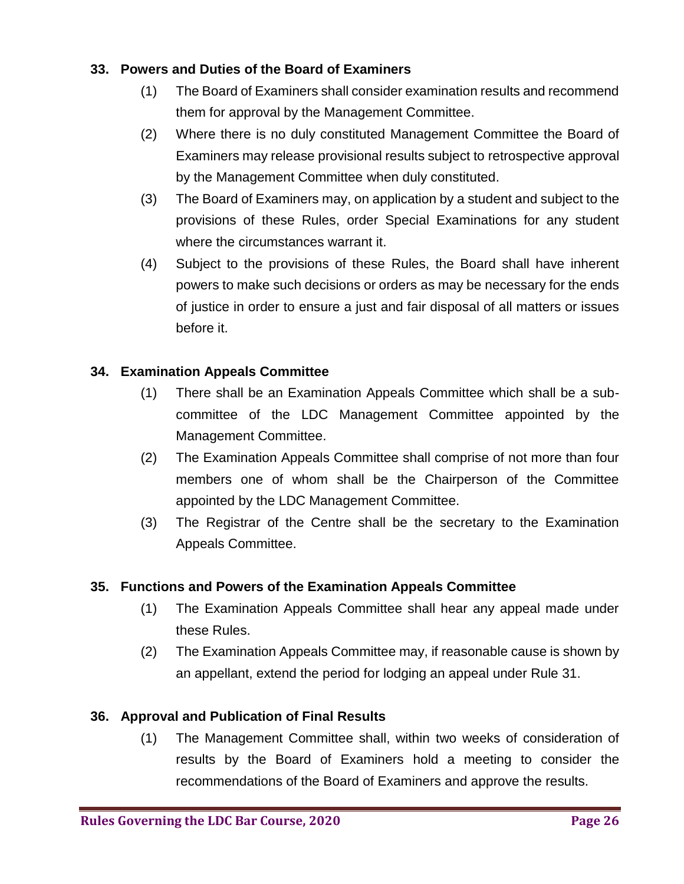### **33. Powers and Duties of the Board of Examiners**

- (1) The Board of Examiners shall consider examination results and recommend them for approval by the Management Committee.
- (2) Where there is no duly constituted Management Committee the Board of Examiners may release provisional results subject to retrospective approval by the Management Committee when duly constituted.
- (3) The Board of Examiners may, on application by a student and subject to the provisions of these Rules, order Special Examinations for any student where the circumstances warrant it.
- (4) Subject to the provisions of these Rules, the Board shall have inherent powers to make such decisions or orders as may be necessary for the ends of justice in order to ensure a just and fair disposal of all matters or issues before it.

## **34. Examination Appeals Committee**

- (1) There shall be an Examination Appeals Committee which shall be a subcommittee of the LDC Management Committee appointed by the Management Committee.
- (2) The Examination Appeals Committee shall comprise of not more than four members one of whom shall be the Chairperson of the Committee appointed by the LDC Management Committee.
- (3) The Registrar of the Centre shall be the secretary to the Examination Appeals Committee.

### **35. Functions and Powers of the Examination Appeals Committee**

- (1) The Examination Appeals Committee shall hear any appeal made under these Rules.
- (2) The Examination Appeals Committee may, if reasonable cause is shown by an appellant, extend the period for lodging an appeal under Rule 31.

### **36. Approval and Publication of Final Results**

(1) The Management Committee shall, within two weeks of consideration of results by the Board of Examiners hold a meeting to consider the recommendations of the Board of Examiners and approve the results.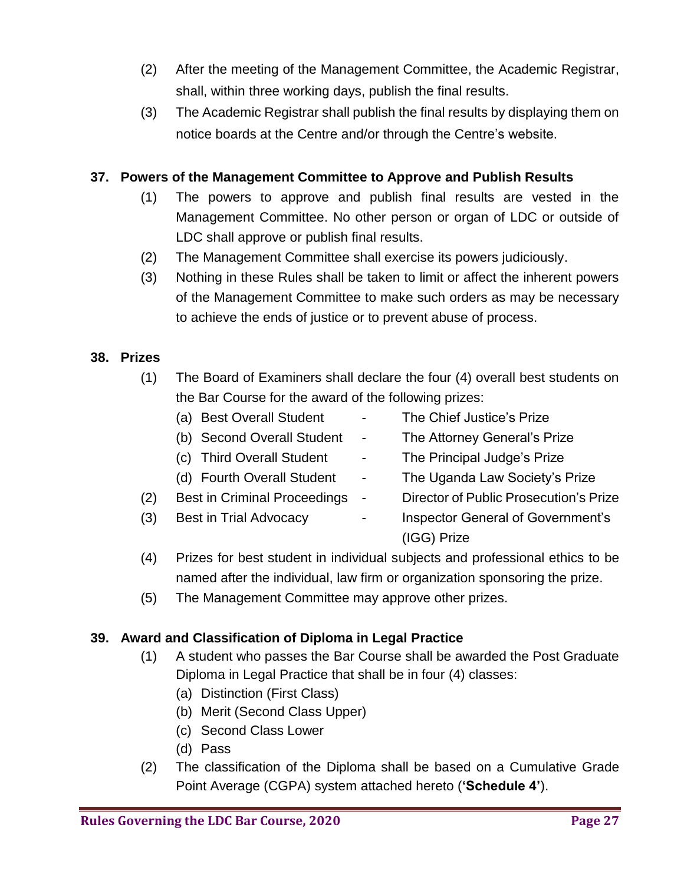- (2) After the meeting of the Management Committee, the Academic Registrar, shall, within three working days, publish the final results.
- (3) The Academic Registrar shall publish the final results by displaying them on notice boards at the Centre and/or through the Centre's website.

### **37. Powers of the Management Committee to Approve and Publish Results**

- (1) The powers to approve and publish final results are vested in the Management Committee. No other person or organ of LDC or outside of LDC shall approve or publish final results.
- (2) The Management Committee shall exercise its powers judiciously.
- (3) Nothing in these Rules shall be taken to limit or affect the inherent powers of the Management Committee to make such orders as may be necessary to achieve the ends of justice or to prevent abuse of process.

#### **38. Prizes**

- (1) The Board of Examiners shall declare the four (4) overall best students on the Bar Course for the award of the following prizes:
	-
	- (a) Best Overall Student The Chief Justice's Prize
	- (b) Second Overall Student The Attorney General's Prize
- - (c) Third Overall Student The Principal Judge's Prize
	- (d) Fourth Overall Student The Uganda Law Society's Prize
- (2) Best in Criminal Proceedings Director of Public Prosecution's Prize
- 
- 
- (3) Best in Trial Advocacy **Fig. 2.** Inspector General of Government's (IGG) Prize
- (4) Prizes for best student in individual subjects and professional ethics to be named after the individual, law firm or organization sponsoring the prize.
- (5) The Management Committee may approve other prizes.

### **39. Award and Classification of Diploma in Legal Practice**

- (1) A student who passes the Bar Course shall be awarded the Post Graduate Diploma in Legal Practice that shall be in four (4) classes:
	- (a) Distinction (First Class)
	- (b) Merit (Second Class Upper)
	- (c) Second Class Lower
	- (d) Pass
- (2) The classification of the Diploma shall be based on a Cumulative Grade Point Average (CGPA) system attached hereto (**'Schedule 4'**).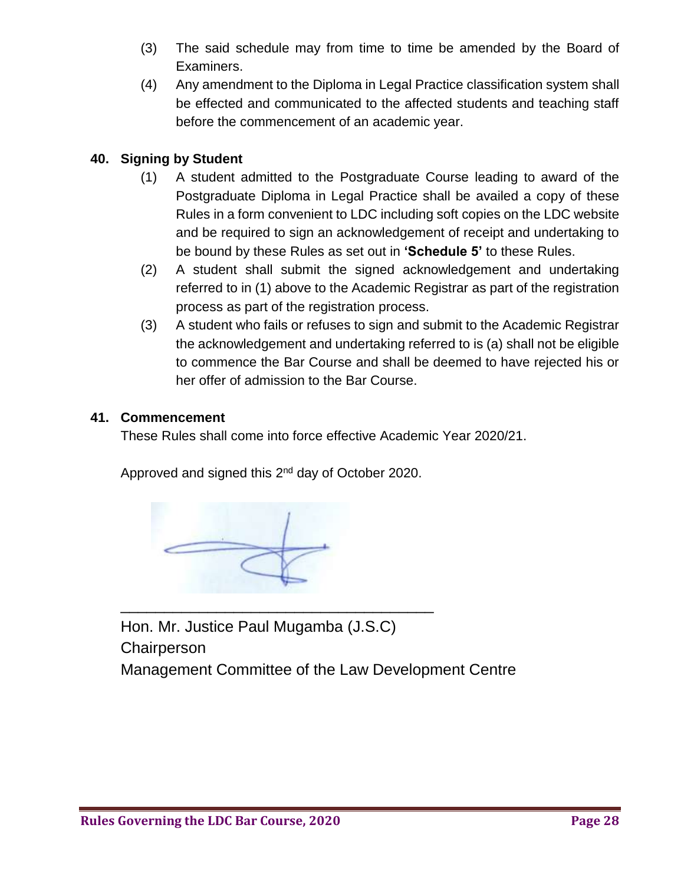- (3) The said schedule may from time to time be amended by the Board of Examiners.
- (4) Any amendment to the Diploma in Legal Practice classification system shall be effected and communicated to the affected students and teaching staff before the commencement of an academic year.

## **40. Signing by Student**

- (1) A student admitted to the Postgraduate Course leading to award of the Postgraduate Diploma in Legal Practice shall be availed a copy of these Rules in a form convenient to LDC including soft copies on the LDC website and be required to sign an acknowledgement of receipt and undertaking to be bound by these Rules as set out in **'Schedule 5'** to these Rules.
- (2) A student shall submit the signed acknowledgement and undertaking referred to in (1) above to the Academic Registrar as part of the registration process as part of the registration process.
- (3) A student who fails or refuses to sign and submit to the Academic Registrar the acknowledgement and undertaking referred to is (a) shall not be eligible to commence the Bar Course and shall be deemed to have rejected his or her offer of admission to the Bar Course.

#### **41. Commencement**

These Rules shall come into force effective Academic Year 2020/21.

Approved and signed this 2<sup>nd</sup> day of October 2020.

\_\_\_\_\_\_\_\_\_\_\_\_\_\_\_\_\_\_\_\_\_\_\_\_\_\_\_\_\_\_\_\_\_\_\_\_

Hon. Mr. Justice Paul Mugamba (J.S.C) **Chairperson** Management Committee of the Law Development Centre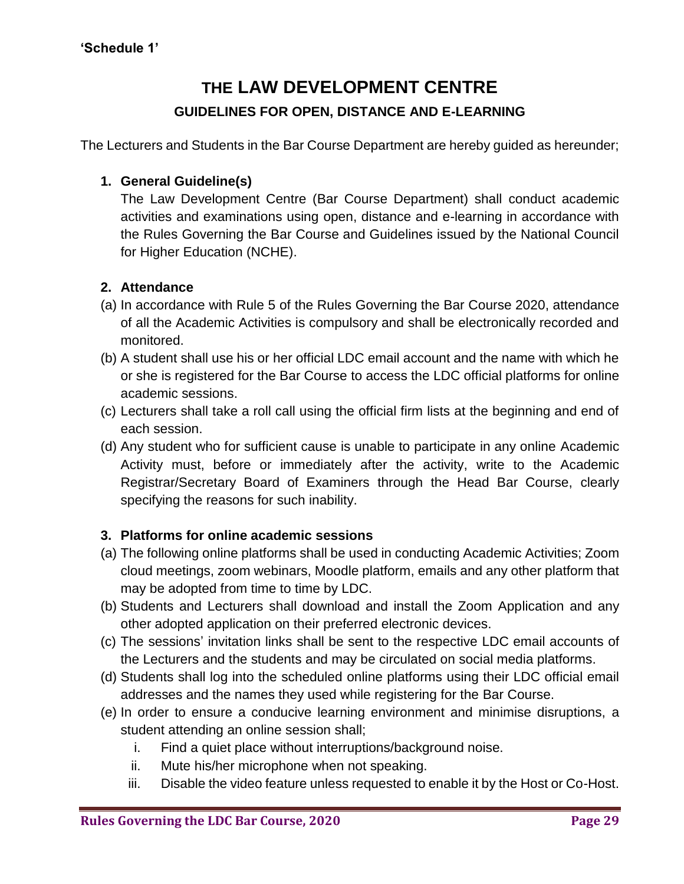# **THE LAW DEVELOPMENT CENTRE GUIDELINES FOR OPEN, DISTANCE AND E-LEARNING**

The Lecturers and Students in the Bar Course Department are hereby guided as hereunder;

### **1. General Guideline(s)**

The Law Development Centre (Bar Course Department) shall conduct academic activities and examinations using open, distance and e-learning in accordance with the Rules Governing the Bar Course and Guidelines issued by the National Council for Higher Education (NCHE).

#### **2. Attendance**

- (a) In accordance with Rule 5 of the Rules Governing the Bar Course 2020, attendance of all the Academic Activities is compulsory and shall be electronically recorded and monitored.
- (b) A student shall use his or her official LDC email account and the name with which he or she is registered for the Bar Course to access the LDC official platforms for online academic sessions.
- (c) Lecturers shall take a roll call using the official firm lists at the beginning and end of each session.
- (d) Any student who for sufficient cause is unable to participate in any online Academic Activity must, before or immediately after the activity, write to the Academic Registrar/Secretary Board of Examiners through the Head Bar Course, clearly specifying the reasons for such inability.

### **3. Platforms for online academic sessions**

- (a) The following online platforms shall be used in conducting Academic Activities; Zoom cloud meetings, zoom webinars, Moodle platform, emails and any other platform that may be adopted from time to time by LDC.
- (b) Students and Lecturers shall download and install the Zoom Application and any other adopted application on their preferred electronic devices.
- (c) The sessions' invitation links shall be sent to the respective LDC email accounts of the Lecturers and the students and may be circulated on social media platforms.
- (d) Students shall log into the scheduled online platforms using their LDC official email addresses and the names they used while registering for the Bar Course.
- (e) In order to ensure a conducive learning environment and minimise disruptions, a student attending an online session shall;
	- i. Find a quiet place without interruptions/background noise.
	- ii. Mute his/her microphone when not speaking.
	- iii. Disable the video feature unless requested to enable it by the Host or Co-Host.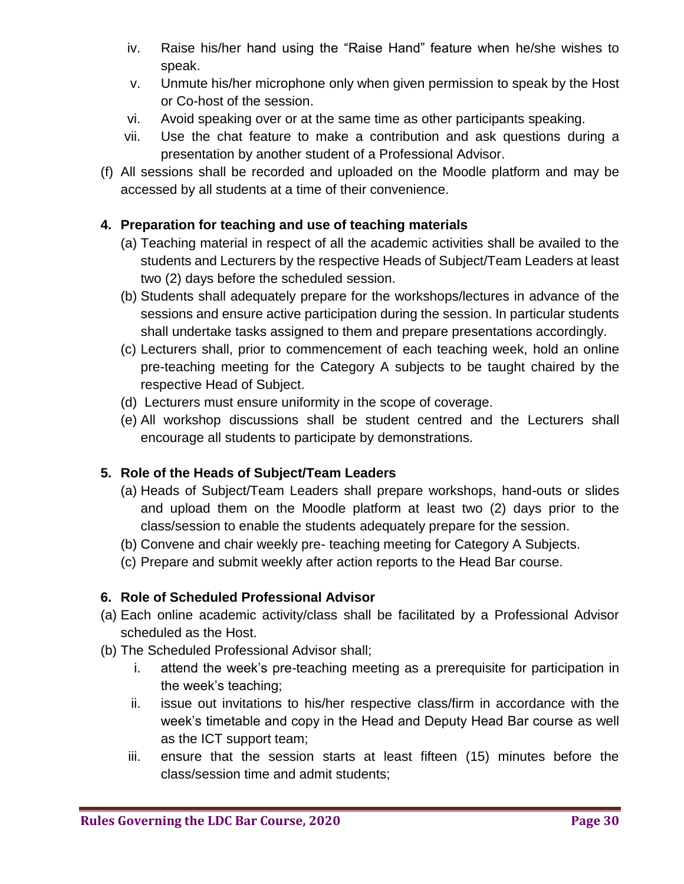- iv. Raise his/her hand using the "Raise Hand" feature when he/she wishes to speak.
- v. Unmute his/her microphone only when given permission to speak by the Host or Co-host of the session.
- vi. Avoid speaking over or at the same time as other participants speaking.
- vii. Use the chat feature to make a contribution and ask questions during a presentation by another student of a Professional Advisor.
- (f) All sessions shall be recorded and uploaded on the Moodle platform and may be accessed by all students at a time of their convenience.

## **4. Preparation for teaching and use of teaching materials**

- (a) Teaching material in respect of all the academic activities shall be availed to the students and Lecturers by the respective Heads of Subject/Team Leaders at least two (2) days before the scheduled session.
- (b) Students shall adequately prepare for the workshops/lectures in advance of the sessions and ensure active participation during the session. In particular students shall undertake tasks assigned to them and prepare presentations accordingly.
- (c) Lecturers shall, prior to commencement of each teaching week, hold an online pre-teaching meeting for the Category A subjects to be taught chaired by the respective Head of Subject.
- (d) Lecturers must ensure uniformity in the scope of coverage.
- (e) All workshop discussions shall be student centred and the Lecturers shall encourage all students to participate by demonstrations.

### **5. Role of the Heads of Subject/Team Leaders**

- (a) Heads of Subject/Team Leaders shall prepare workshops, hand-outs or slides and upload them on the Moodle platform at least two (2) days prior to the class/session to enable the students adequately prepare for the session.
- (b) Convene and chair weekly pre- teaching meeting for Category A Subjects.
- (c) Prepare and submit weekly after action reports to the Head Bar course.

# **6. Role of Scheduled Professional Advisor**

- (a) Each online academic activity/class shall be facilitated by a Professional Advisor scheduled as the Host.
- (b) The Scheduled Professional Advisor shall;
	- i. attend the week's pre-teaching meeting as a prerequisite for participation in the week's teaching;
	- ii. issue out invitations to his/her respective class/firm in accordance with the week's timetable and copy in the Head and Deputy Head Bar course as well as the ICT support team;
	- iii. ensure that the session starts at least fifteen (15) minutes before the class/session time and admit students;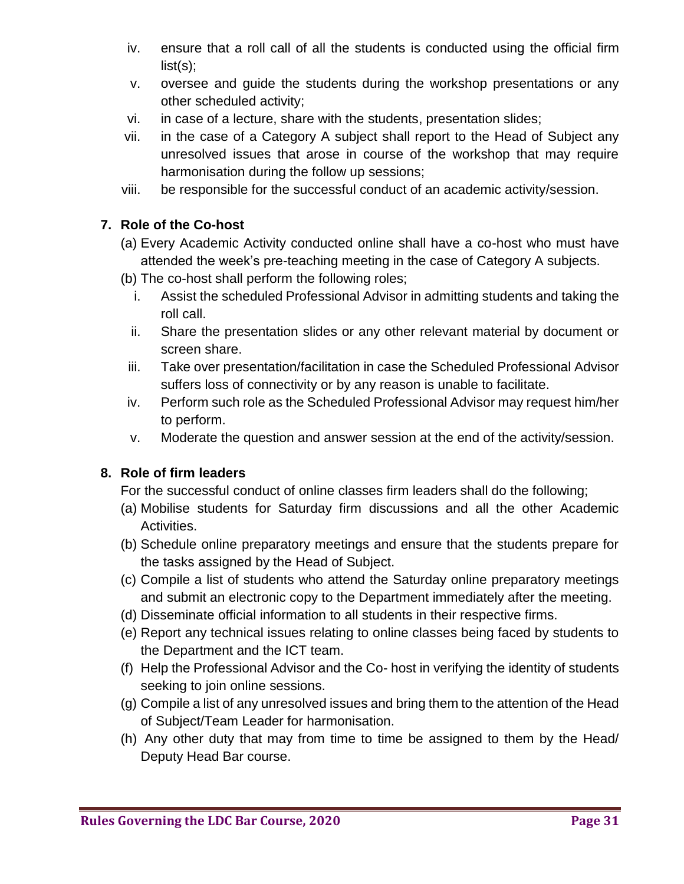- iv. ensure that a roll call of all the students is conducted using the official firm list(s);
- v. oversee and guide the students during the workshop presentations or any other scheduled activity;
- vi. in case of a lecture, share with the students, presentation slides;
- vii. in the case of a Category A subject shall report to the Head of Subject any unresolved issues that arose in course of the workshop that may require harmonisation during the follow up sessions;
- viii. be responsible for the successful conduct of an academic activity/session.

## **7. Role of the Co-host**

- (a) Every Academic Activity conducted online shall have a co-host who must have attended the week's pre-teaching meeting in the case of Category A subjects.
- (b) The co-host shall perform the following roles;
	- i. Assist the scheduled Professional Advisor in admitting students and taking the roll call.
	- ii. Share the presentation slides or any other relevant material by document or screen share.
- iii. Take over presentation/facilitation in case the Scheduled Professional Advisor suffers loss of connectivity or by any reason is unable to facilitate.
- iv. Perform such role as the Scheduled Professional Advisor may request him/her to perform.
- v. Moderate the question and answer session at the end of the activity/session.

# **8. Role of firm leaders**

For the successful conduct of online classes firm leaders shall do the following;

- (a) Mobilise students for Saturday firm discussions and all the other Academic Activities.
- (b) Schedule online preparatory meetings and ensure that the students prepare for the tasks assigned by the Head of Subject.
- (c) Compile a list of students who attend the Saturday online preparatory meetings and submit an electronic copy to the Department immediately after the meeting.
- (d) Disseminate official information to all students in their respective firms.
- (e) Report any technical issues relating to online classes being faced by students to the Department and the ICT team.
- (f) Help the Professional Advisor and the Co- host in verifying the identity of students seeking to join online sessions.
- (g) Compile a list of any unresolved issues and bring them to the attention of the Head of Subject/Team Leader for harmonisation.
- (h) Any other duty that may from time to time be assigned to them by the Head/ Deputy Head Bar course.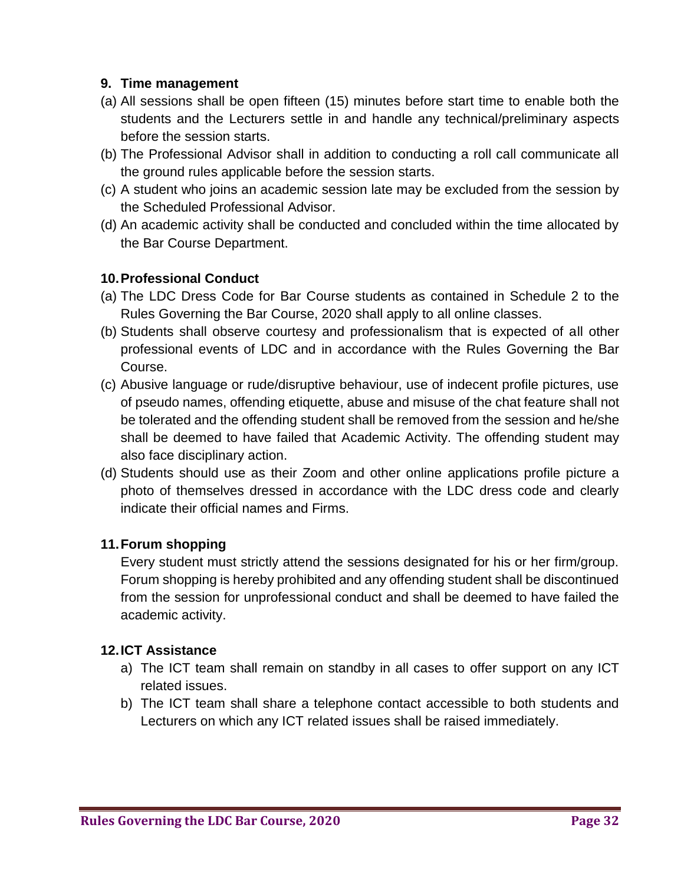#### **9. Time management**

- (a) All sessions shall be open fifteen (15) minutes before start time to enable both the students and the Lecturers settle in and handle any technical/preliminary aspects before the session starts.
- (b) The Professional Advisor shall in addition to conducting a roll call communicate all the ground rules applicable before the session starts.
- (c) A student who joins an academic session late may be excluded from the session by the Scheduled Professional Advisor.
- (d) An academic activity shall be conducted and concluded within the time allocated by the Bar Course Department.

#### **10.Professional Conduct**

- (a) The LDC Dress Code for Bar Course students as contained in Schedule 2 to the Rules Governing the Bar Course, 2020 shall apply to all online classes.
- (b) Students shall observe courtesy and professionalism that is expected of all other professional events of LDC and in accordance with the Rules Governing the Bar Course.
- (c) Abusive language or rude/disruptive behaviour, use of indecent profile pictures, use of pseudo names, offending etiquette, abuse and misuse of the chat feature shall not be tolerated and the offending student shall be removed from the session and he/she shall be deemed to have failed that Academic Activity. The offending student may also face disciplinary action.
- (d) Students should use as their Zoom and other online applications profile picture a photo of themselves dressed in accordance with the LDC dress code and clearly indicate their official names and Firms.

### **11.Forum shopping**

Every student must strictly attend the sessions designated for his or her firm/group. Forum shopping is hereby prohibited and any offending student shall be discontinued from the session for unprofessional conduct and shall be deemed to have failed the academic activity.

#### **12.ICT Assistance**

- a) The ICT team shall remain on standby in all cases to offer support on any ICT related issues.
- b) The ICT team shall share a telephone contact accessible to both students and Lecturers on which any ICT related issues shall be raised immediately.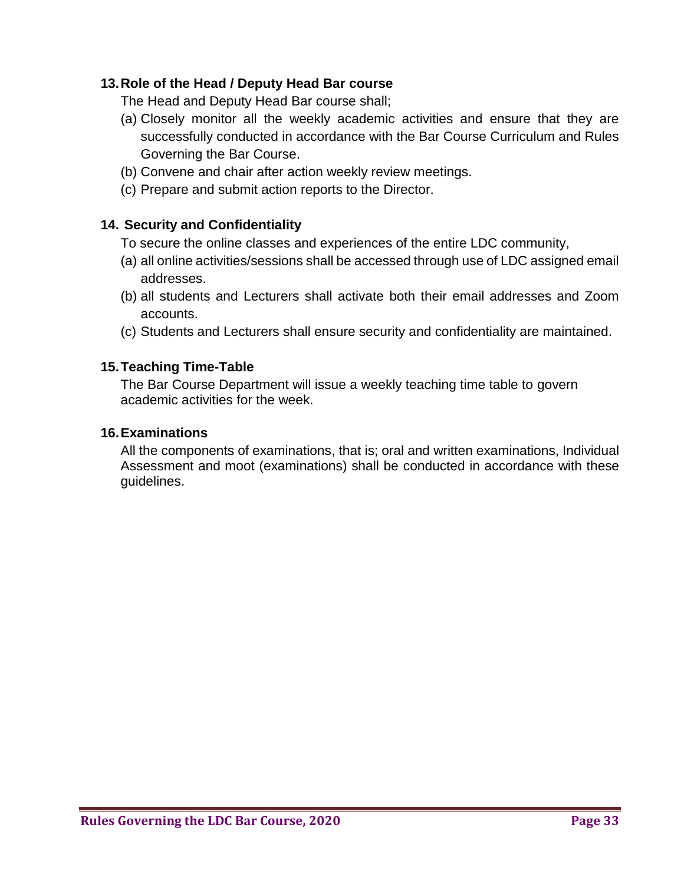### **13.Role of the Head / Deputy Head Bar course**

The Head and Deputy Head Bar course shall;

- (a) Closely monitor all the weekly academic activities and ensure that they are successfully conducted in accordance with the Bar Course Curriculum and Rules Governing the Bar Course.
- (b) Convene and chair after action weekly review meetings.
- (c) Prepare and submit action reports to the Director.

#### **14. Security and Confidentiality**

- To secure the online classes and experiences of the entire LDC community,
- (a) all online activities/sessions shall be accessed through use of LDC assigned email addresses.
- (b) all students and Lecturers shall activate both their email addresses and Zoom accounts.
- (c) Students and Lecturers shall ensure security and confidentiality are maintained.

#### **15.Teaching Time-Table**

The Bar Course Department will issue a weekly teaching time table to govern academic activities for the week.

#### **16.Examinations**

All the components of examinations, that is; oral and written examinations, Individual Assessment and moot (examinations) shall be conducted in accordance with these guidelines.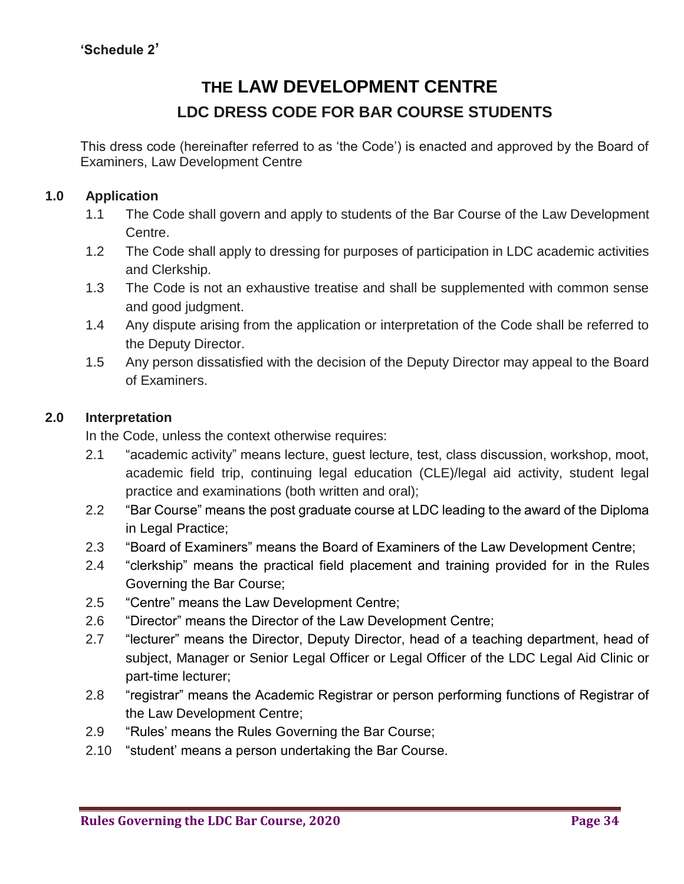# **THE LAW DEVELOPMENT CENTRE LDC DRESS CODE FOR BAR COURSE STUDENTS**

This dress code (hereinafter referred to as 'the Code') is enacted and approved by the Board of Examiners, Law Development Centre

### **1.0 Application**

- 1.1 The Code shall govern and apply to students of the Bar Course of the Law Development Centre.
- 1.2 The Code shall apply to dressing for purposes of participation in LDC academic activities and Clerkship.
- 1.3 The Code is not an exhaustive treatise and shall be supplemented with common sense and good judgment.
- 1.4 Any dispute arising from the application or interpretation of the Code shall be referred to the Deputy Director.
- 1.5 Any person dissatisfied with the decision of the Deputy Director may appeal to the Board of Examiners.

#### **2.0 Interpretation**

In the Code, unless the context otherwise requires:

- 2.1 "academic activity" means lecture, guest lecture, test, class discussion, workshop, moot, academic field trip, continuing legal education (CLE)/legal aid activity, student legal practice and examinations (both written and oral);
- 2.2 "Bar Course" means the post graduate course at LDC leading to the award of the Diploma in Legal Practice;
- 2.3 "Board of Examiners" means the Board of Examiners of the Law Development Centre;
- 2.4 "clerkship" means the practical field placement and training provided for in the Rules Governing the Bar Course;
- 2.5 "Centre" means the Law Development Centre;
- 2.6 "Director" means the Director of the Law Development Centre;
- 2.7 "lecturer" means the Director, Deputy Director, head of a teaching department, head of subject, Manager or Senior Legal Officer or Legal Officer of the LDC Legal Aid Clinic or part-time lecturer;
- 2.8 "registrar" means the Academic Registrar or person performing functions of Registrar of the Law Development Centre;
- 2.9 "Rules' means the Rules Governing the Bar Course;
- 2.10 "student' means a person undertaking the Bar Course.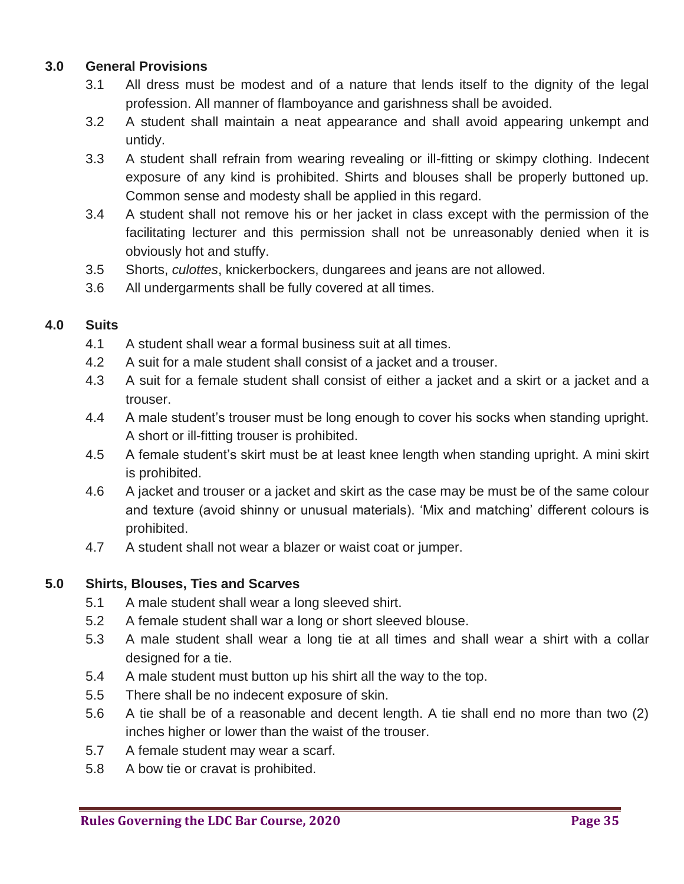## **3.0 General Provisions**

- 3.1 All dress must be modest and of a nature that lends itself to the dignity of the legal profession. All manner of flamboyance and garishness shall be avoided.
- 3.2 A student shall maintain a neat appearance and shall avoid appearing unkempt and untidy.
- 3.3 A student shall refrain from wearing revealing or ill-fitting or skimpy clothing. Indecent exposure of any kind is prohibited. Shirts and blouses shall be properly buttoned up. Common sense and modesty shall be applied in this regard.
- 3.4 A student shall not remove his or her jacket in class except with the permission of the facilitating lecturer and this permission shall not be unreasonably denied when it is obviously hot and stuffy.
- 3.5 Shorts, *culottes*, knickerbockers, dungarees and jeans are not allowed.
- 3.6 All undergarments shall be fully covered at all times.

# **4.0 Suits**

- 4.1 A student shall wear a formal business suit at all times.
- 4.2 A suit for a male student shall consist of a jacket and a trouser.
- 4.3 A suit for a female student shall consist of either a jacket and a skirt or a jacket and a trouser.
- 4.4 A male student's trouser must be long enough to cover his socks when standing upright. A short or ill-fitting trouser is prohibited.
- 4.5 A female student's skirt must be at least knee length when standing upright. A mini skirt is prohibited.
- 4.6 A jacket and trouser or a jacket and skirt as the case may be must be of the same colour and texture (avoid shinny or unusual materials). 'Mix and matching' different colours is prohibited.
- 4.7 A student shall not wear a blazer or waist coat or jumper.

# **5.0 Shirts, Blouses, Ties and Scarves**

- 5.1 A male student shall wear a long sleeved shirt.
- 5.2 A female student shall war a long or short sleeved blouse.
- 5.3 A male student shall wear a long tie at all times and shall wear a shirt with a collar designed for a tie.
- 5.4 A male student must button up his shirt all the way to the top.
- 5.5 There shall be no indecent exposure of skin.
- 5.6 A tie shall be of a reasonable and decent length. A tie shall end no more than two (2) inches higher or lower than the waist of the trouser.
- 5.7 A female student may wear a scarf.
- 5.8 A bow tie or cravat is prohibited.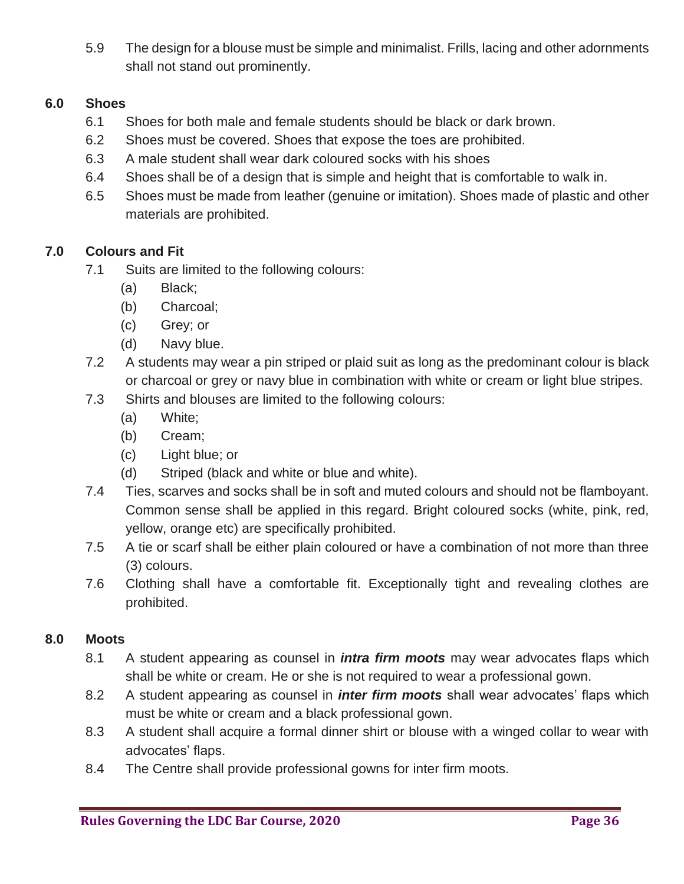5.9 The design for a blouse must be simple and minimalist. Frills, lacing and other adornments shall not stand out prominently.

# **6.0 Shoes**

- 6.1 Shoes for both male and female students should be black or dark brown.
- 6.2 Shoes must be covered. Shoes that expose the toes are prohibited.
- 6.3 A male student shall wear dark coloured socks with his shoes
- 6.4 Shoes shall be of a design that is simple and height that is comfortable to walk in.
- 6.5 Shoes must be made from leather (genuine or imitation). Shoes made of plastic and other materials are prohibited.

# **7.0 Colours and Fit**

- 7.1 Suits are limited to the following colours:
	- (a) Black;
	- (b) Charcoal;
	- (c) Grey; or
	- (d) Navy blue.
- 7.2 A students may wear a pin striped or plaid suit as long as the predominant colour is black or charcoal or grey or navy blue in combination with white or cream or light blue stripes.
- 7.3 Shirts and blouses are limited to the following colours:
	- (a) White;
	- (b) Cream;
	- (c) Light blue; or
	- (d) Striped (black and white or blue and white).
- 7.4 Ties, scarves and socks shall be in soft and muted colours and should not be flamboyant. Common sense shall be applied in this regard. Bright coloured socks (white, pink, red, yellow, orange etc) are specifically prohibited.
- 7.5 A tie or scarf shall be either plain coloured or have a combination of not more than three (3) colours.
- 7.6 Clothing shall have a comfortable fit. Exceptionally tight and revealing clothes are prohibited.

### **8.0 Moots**

- 8.1 A student appearing as counsel in *intra firm moots* may wear advocates flaps which shall be white or cream. He or she is not required to wear a professional gown.
- 8.2 A student appearing as counsel in *inter firm moots* shall wear advocates' flaps which must be white or cream and a black professional gown.
- 8.3 A student shall acquire a formal dinner shirt or blouse with a winged collar to wear with advocates' flaps.
- 8.4 The Centre shall provide professional gowns for inter firm moots.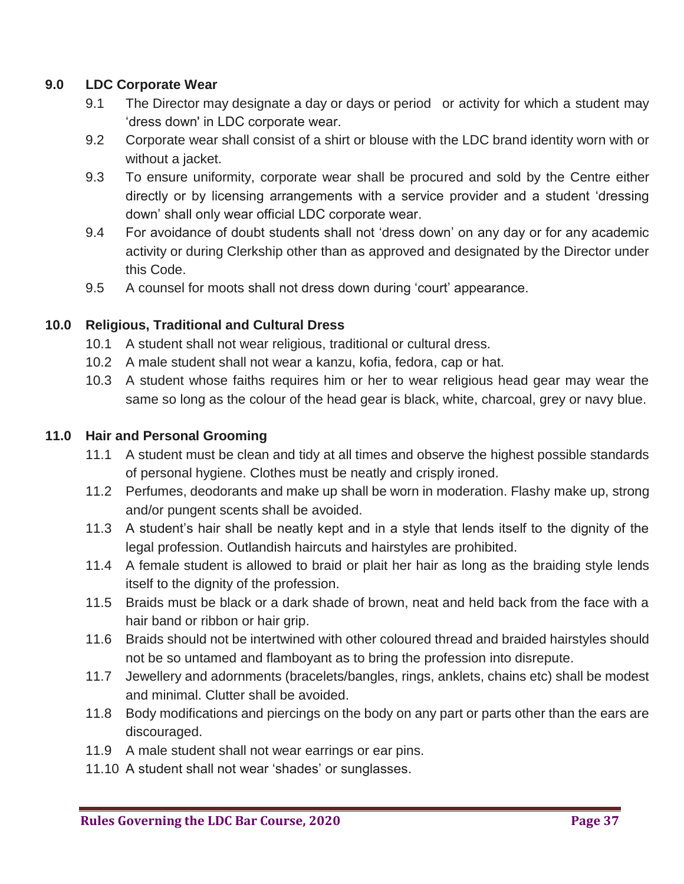## **9.0 LDC Corporate Wear**

- 9.1 The Director may designate a day or days or period or activity for which a student may 'dress down' in LDC corporate wear.
- 9.2 Corporate wear shall consist of a shirt or blouse with the LDC brand identity worn with or without a jacket.
- 9.3 To ensure uniformity, corporate wear shall be procured and sold by the Centre either directly or by licensing arrangements with a service provider and a student 'dressing down' shall only wear official LDC corporate wear.
- 9.4 For avoidance of doubt students shall not 'dress down' on any day or for any academic activity or during Clerkship other than as approved and designated by the Director under this Code.
- 9.5 A counsel for moots shall not dress down during 'court' appearance.

## **10.0 Religious, Traditional and Cultural Dress**

- 10.1 A student shall not wear religious, traditional or cultural dress.
- 10.2 A male student shall not wear a kanzu, kofia, fedora, cap or hat.
- 10.3 A student whose faiths requires him or her to wear religious head gear may wear the same so long as the colour of the head gear is black, white, charcoal, grey or navy blue.

### **11.0 Hair and Personal Grooming**

- 11.1 A student must be clean and tidy at all times and observe the highest possible standards of personal hygiene. Clothes must be neatly and crisply ironed.
- 11.2 Perfumes, deodorants and make up shall be worn in moderation. Flashy make up, strong and/or pungent scents shall be avoided.
- 11.3 A student's hair shall be neatly kept and in a style that lends itself to the dignity of the legal profession. Outlandish haircuts and hairstyles are prohibited.
- 11.4 A female student is allowed to braid or plait her hair as long as the braiding style lends itself to the dignity of the profession.
- 11.5 Braids must be black or a dark shade of brown, neat and held back from the face with a hair band or ribbon or hair grip.
- 11.6 Braids should not be intertwined with other coloured thread and braided hairstyles should not be so untamed and flamboyant as to bring the profession into disrepute.
- 11.7 Jewellery and adornments (bracelets/bangles, rings, anklets, chains etc) shall be modest and minimal. Clutter shall be avoided.
- 11.8 Body modifications and piercings on the body on any part or parts other than the ears are discouraged.
- 11.9 A male student shall not wear earrings or ear pins.
- 11.10 A student shall not wear 'shades' or sunglasses.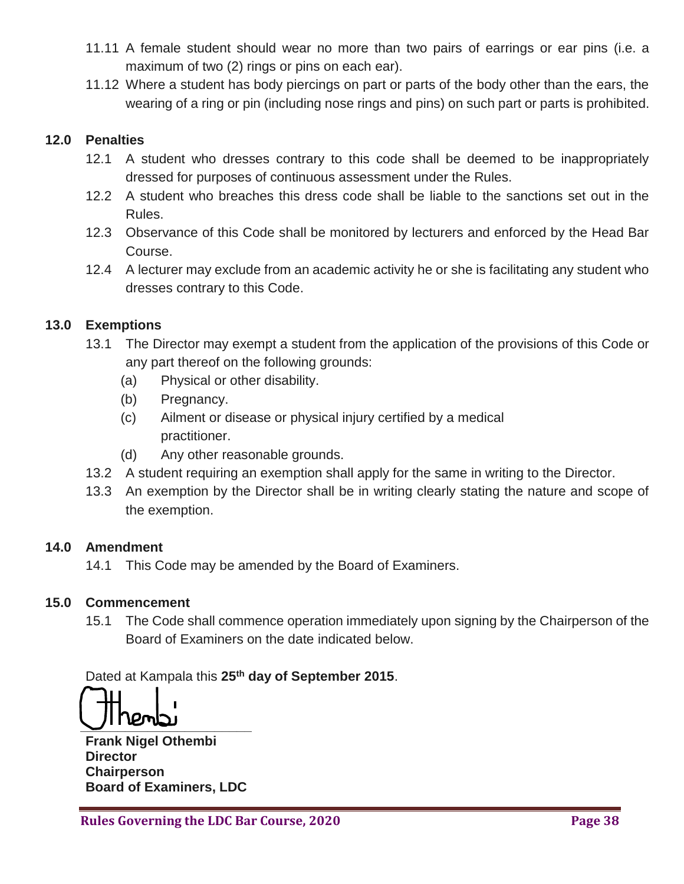- 11.11 A female student should wear no more than two pairs of earrings or ear pins (i.e. a maximum of two (2) rings or pins on each ear).
- 11.12 Where a student has body piercings on part or parts of the body other than the ears, the wearing of a ring or pin (including nose rings and pins) on such part or parts is prohibited.

### **12.0 Penalties**

- 12.1 A student who dresses contrary to this code shall be deemed to be inappropriately dressed for purposes of continuous assessment under the Rules.
- 12.2 A student who breaches this dress code shall be liable to the sanctions set out in the Rules.
- 12.3 Observance of this Code shall be monitored by lecturers and enforced by the Head Bar Course.
- 12.4 A lecturer may exclude from an academic activity he or she is facilitating any student who dresses contrary to this Code.

### **13.0 Exemptions**

- 13.1 The Director may exempt a student from the application of the provisions of this Code or any part thereof on the following grounds:
	- (a) Physical or other disability.
	- (b) Pregnancy.
	- (c) Ailment or disease or physical injury certified by a medical practitioner.
	- (d) Any other reasonable grounds.
- 13.2 A student requiring an exemption shall apply for the same in writing to the Director.
- 13.3 An exemption by the Director shall be in writing clearly stating the nature and scope of the exemption.

#### **14.0 Amendment**

14.1 This Code may be amended by the Board of Examiners.

#### **15.0 Commencement**

15.1 The Code shall commence operation immediately upon signing by the Chairperson of the Board of Examiners on the date indicated below.

Dated at Kampala this **25th day of September 2015**.

**\_\_\_\_\_\_\_\_\_\_\_\_\_\_\_\_\_\_\_\_\_\_\_**

**Frank Nigel Othembi Director Chairperson Board of Examiners, LDC**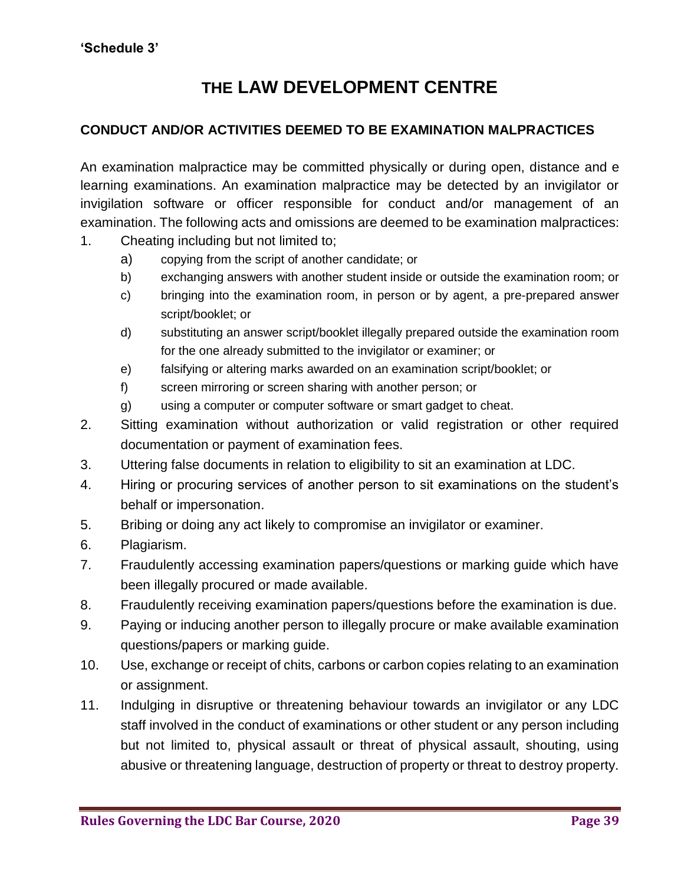# **THE LAW DEVELOPMENT CENTRE**

#### **CONDUCT AND/OR ACTIVITIES DEEMED TO BE EXAMINATION MALPRACTICES**

An examination malpractice may be committed physically or during open, distance and e learning examinations. An examination malpractice may be detected by an invigilator or invigilation software or officer responsible for conduct and/or management of an examination. The following acts and omissions are deemed to be examination malpractices:

- 1. Cheating including but not limited to;
	- a) copying from the script of another candidate; or
	- b) exchanging answers with another student inside or outside the examination room; or
	- c) bringing into the examination room, in person or by agent, a pre-prepared answer script/booklet; or
	- d) substituting an answer script/booklet illegally prepared outside the examination room for the one already submitted to the invigilator or examiner; or
	- e) falsifying or altering marks awarded on an examination script/booklet; or
	- f) screen mirroring or screen sharing with another person; or
	- g) using a computer or computer software or smart gadget to cheat.
- 2. Sitting examination without authorization or valid registration or other required documentation or payment of examination fees.
- 3. Uttering false documents in relation to eligibility to sit an examination at LDC.
- 4. Hiring or procuring services of another person to sit examinations on the student's behalf or impersonation.
- 5. Bribing or doing any act likely to compromise an invigilator or examiner.
- 6. Plagiarism.
- 7. Fraudulently accessing examination papers/questions or marking guide which have been illegally procured or made available.
- 8. Fraudulently receiving examination papers/questions before the examination is due.
- 9. Paying or inducing another person to illegally procure or make available examination questions/papers or marking guide.
- 10. Use, exchange or receipt of chits, carbons or carbon copies relating to an examination or assignment.
- 11. Indulging in disruptive or threatening behaviour towards an invigilator or any LDC staff involved in the conduct of examinations or other student or any person including but not limited to, physical assault or threat of physical assault, shouting, using abusive or threatening language, destruction of property or threat to destroy property.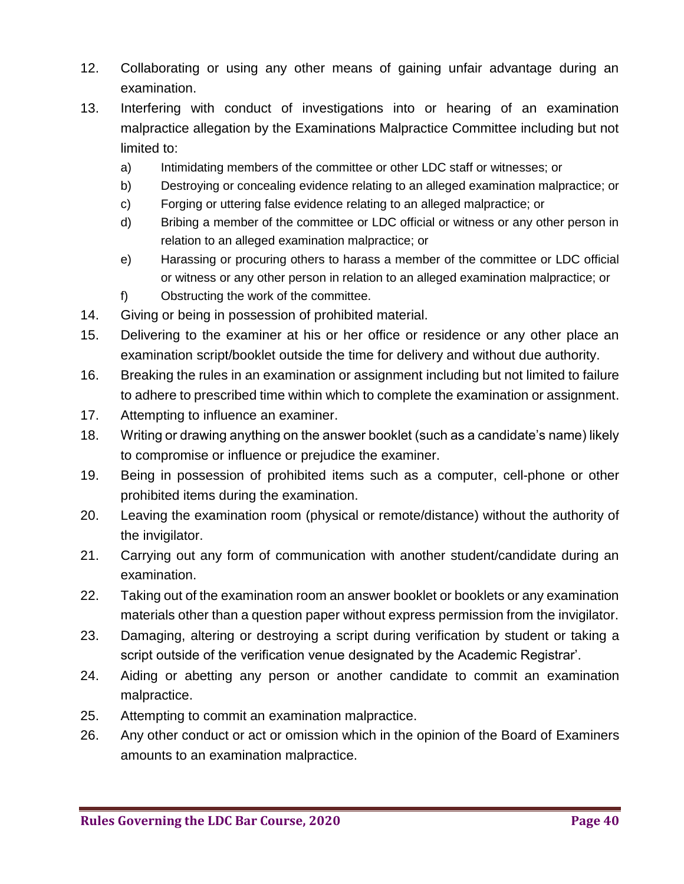- 12. Collaborating or using any other means of gaining unfair advantage during an examination.
- 13. Interfering with conduct of investigations into or hearing of an examination malpractice allegation by the Examinations Malpractice Committee including but not limited to:
	- a) Intimidating members of the committee or other LDC staff or witnesses; or
	- b) Destroying or concealing evidence relating to an alleged examination malpractice; or
	- c) Forging or uttering false evidence relating to an alleged malpractice; or
	- d) Bribing a member of the committee or LDC official or witness or any other person in relation to an alleged examination malpractice; or
	- e) Harassing or procuring others to harass a member of the committee or LDC official or witness or any other person in relation to an alleged examination malpractice; or
	- f) Obstructing the work of the committee.
- 14. Giving or being in possession of prohibited material.
- 15. Delivering to the examiner at his or her office or residence or any other place an examination script/booklet outside the time for delivery and without due authority.
- 16. Breaking the rules in an examination or assignment including but not limited to failure to adhere to prescribed time within which to complete the examination or assignment.
- 17. Attempting to influence an examiner.
- 18. Writing or drawing anything on the answer booklet (such as a candidate's name) likely to compromise or influence or prejudice the examiner.
- 19. Being in possession of prohibited items such as a computer, cell-phone or other prohibited items during the examination.
- 20. Leaving the examination room (physical or remote/distance) without the authority of the invigilator.
- 21. Carrying out any form of communication with another student/candidate during an examination.
- 22. Taking out of the examination room an answer booklet or booklets or any examination materials other than a question paper without express permission from the invigilator.
- 23. Damaging, altering or destroying a script during verification by student or taking a script outside of the verification venue designated by the Academic Registrar'.
- 24. Aiding or abetting any person or another candidate to commit an examination malpractice.
- 25. Attempting to commit an examination malpractice.
- 26. Any other conduct or act or omission which in the opinion of the Board of Examiners amounts to an examination malpractice.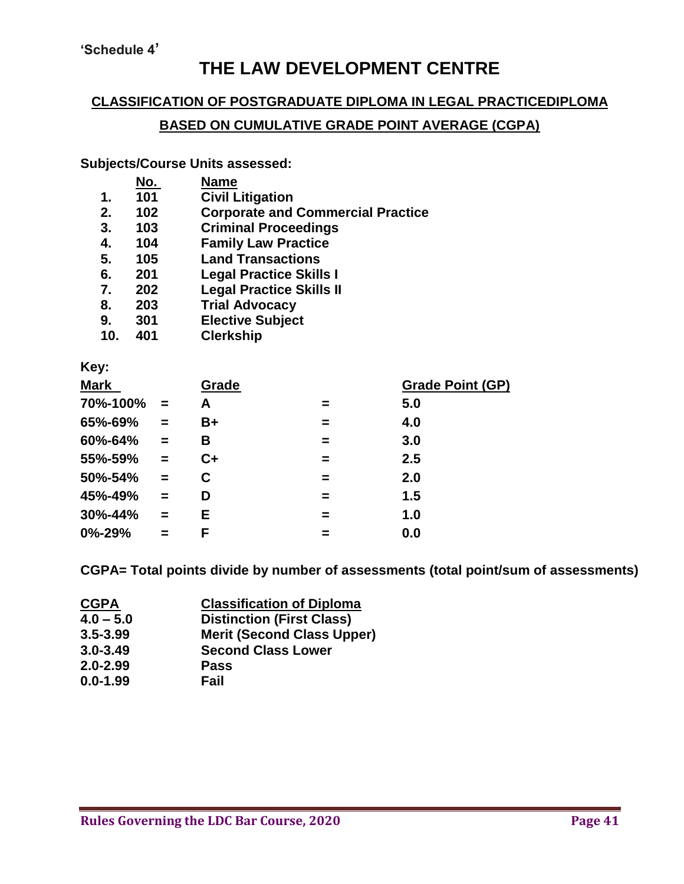**'Schedule 4'**

# **THE LAW DEVELOPMENT CENTRE**

#### **CLASSIFICATION OF POSTGRADUATE DIPLOMA IN LEGAL PRACTICEDIPLOMA**

## **BASED ON CUMULATIVE GRADE POINT AVERAGE (CGPA)**

#### **Subjects/Course Units assessed:**

|             | No. | <b>Name</b>                              |
|-------------|-----|------------------------------------------|
| $\mathbf 1$ | 101 | <b>Civil Litigation</b>                  |
| 2.          | 102 | <b>Corporate and Commercial Practice</b> |
| 3.          | 103 | <b>Criminal Proceedings</b>              |
| 4.          | 104 | <b>Family Law Practice</b>               |
| 5.          | 105 | <b>Land Transactions</b>                 |
| 6.          | 201 | <b>Legal Practice Skills I</b>           |
| 7.          | 202 | <b>Legal Practice Skills II</b>          |
| 8.          | 203 | <b>Trial Advocacy</b>                    |
| 9.          | 301 | <b>Elective Subject</b>                  |
| 10.         | 401 | <b>Clerkship</b>                         |
|             |     |                                          |
|             |     |                                          |

# **Key:**

| <b>Mark</b>  |          | Grade |   | <b>Grade Point (GP)</b> |
|--------------|----------|-------|---|-------------------------|
| 70%-100%     | $\equiv$ | A     |   | 5.0                     |
| 65%-69%      | $=$      | B+    | = | 4.0                     |
| 60%-64%      | $=$      | В     | = | 3.0                     |
| 55%-59%      | $\equiv$ | $C+$  | = | 2.5                     |
| 50%-54%      | $=$      | C     | = | 2.0                     |
| 45%-49%      | $\equiv$ | D     | = | 1.5                     |
| 30%-44%      | $\equiv$ | E.    | = | 1.0                     |
| $0\% - 29\%$ |          | F     |   | 0.0                     |

**CGPA= Total points divide by number of assessments (total point/sum of assessments)**

| <b>CGPA</b>  | <b>Classification of Diploma</b>  |
|--------------|-----------------------------------|
| $4.0 - 5.0$  | <b>Distinction (First Class)</b>  |
| $3.5 - 3.99$ | <b>Merit (Second Class Upper)</b> |
| $3.0 - 3.49$ | <b>Second Class Lower</b>         |
| $2.0 - 2.99$ | <b>Pass</b>                       |
| $0.0 - 1.99$ | Fail                              |